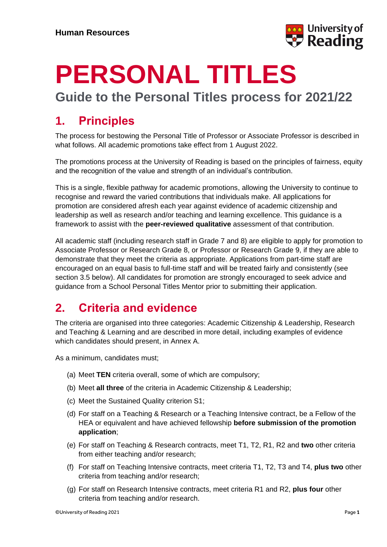

## **PERSONAL TITLES**

**Guide to the Personal Titles process for 2021/22**

### **1. Principles**

The process for bestowing the Personal Title of Professor or Associate Professor is described in what follows. All academic promotions take effect from 1 August 2022.

The promotions process at the University of Reading is based on the principles of fairness, equity and the recognition of the value and strength of an individual's contribution.

This is a single, flexible pathway for academic promotions, allowing the University to continue to recognise and reward the varied contributions that individuals make. All applications for promotion are considered afresh each year against evidence of academic citizenship and leadership as well as research and/or teaching and learning excellence. This guidance is a framework to assist with the **peer-reviewed qualitative** assessment of that contribution.

All academic staff (including research staff in Grade 7 and 8) are eligible to apply for promotion to Associate Professor or Research Grade 8, or Professor or Research Grade 9, if they are able to demonstrate that they meet the criteria as appropriate. Applications from part-time staff are encouraged on an equal basis to full-time staff and will be treated fairly and consistently (see section 3.5 below). All candidates for promotion are strongly encouraged to seek advice and guidance from a School Personal Titles Mentor prior to submitting their application.

### **2. Criteria and evidence**

The criteria are organised into three categories: Academic Citizenship & Leadership, Research and Teaching & Learning and are described in more detail, including examples of evidence which candidates should present, in Annex A.

As a minimum, candidates must;

- (a) Meet **TEN** criteria overall, some of which are compulsory;
- (b) Meet **all three** of the criteria in Academic Citizenship & Leadership;
- (c) Meet the Sustained Quality criterion S1;
- (d) For staff on a Teaching & Research or a Teaching Intensive contract, be a Fellow of the HEA or equivalent and have achieved fellowship **before submission of the promotion application**;
- (e) For staff on Teaching & Research contracts, meet T1, T2, R1, R2 and **two** other criteria from either teaching and/or research;
- (f) For staff on Teaching Intensive contracts, meet criteria T1, T2, T3 and T4, **plus two** other criteria from teaching and/or research;
- (g) For staff on Research Intensive contracts, meet criteria R1 and R2, **plus four** other criteria from teaching and/or research.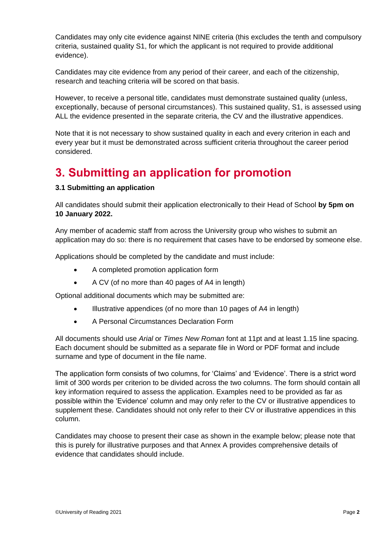Candidates may only cite evidence against NINE criteria (this excludes the tenth and compulsory criteria, sustained quality S1, for which the applicant is not required to provide additional evidence).

Candidates may cite evidence from any period of their career, and each of the citizenship, research and teaching criteria will be scored on that basis.

However, to receive a personal title, candidates must demonstrate sustained quality (unless, exceptionally, because of personal circumstances). This sustained quality, S1, is assessed using ALL the evidence presented in the separate criteria, the CV and the illustrative appendices.

Note that it is not necessary to show sustained quality in each and every criterion in each and every year but it must be demonstrated across sufficient criteria throughout the career period considered.

### **3. Submitting an application for promotion**

### **3.1 Submitting an application**

All candidates should submit their application electronically to their Head of School **by 5pm on 10 January 2022.**

Any member of academic staff from across the University group who wishes to submit an application may do so: there is no requirement that cases have to be endorsed by someone else.

Applications should be completed by the candidate and must include:

- A completed promotion application form
- A CV (of no more than 40 pages of A4 in length)

Optional additional documents which may be submitted are:

- Illustrative appendices (of no more than 10 pages of A4 in length)
- A Personal Circumstances Declaration Form

All documents should use *Arial* or *Times New Roman* font at 11pt and at least 1.15 line spacing. Each document should be submitted as a separate file in Word or PDF format and include surname and type of document in the file name.

The application form consists of two columns, for 'Claims' and 'Evidence'. There is a strict word limit of 300 words per criterion to be divided across the two columns. The form should contain all key information required to assess the application. Examples need to be provided as far as possible within the 'Evidence' column and may only refer to the CV or illustrative appendices to supplement these. Candidates should not only refer to their CV or illustrative appendices in this column.

Candidates may choose to present their case as shown in the example below; please note that this is purely for illustrative purposes and that Annex A provides comprehensive details of evidence that candidates should include.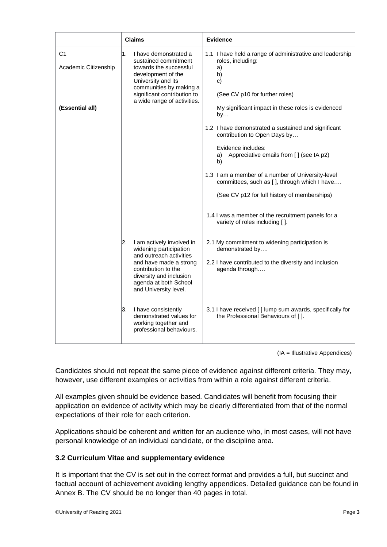| <b>Claims</b>                          |                                                                                                                                                                                                                    | <b>Evidence</b>                                                                                                                   |  |
|----------------------------------------|--------------------------------------------------------------------------------------------------------------------------------------------------------------------------------------------------------------------|-----------------------------------------------------------------------------------------------------------------------------------|--|
| C <sub>1</sub><br>Academic Citizenship | 1.<br>I have demonstrated a<br>sustained commitment<br>towards the successful<br>development of the<br>University and its<br>communities by making a<br>significant contribution to<br>a wide range of activities. | 1.1 I have held a range of administrative and leadership<br>roles, including:<br>a)<br>b)<br>c)<br>(See CV p10 for further roles) |  |
| (Essential all)                        |                                                                                                                                                                                                                    | My significant impact in these roles is evidenced<br>by                                                                           |  |
|                                        |                                                                                                                                                                                                                    | 1.2 I have demonstrated a sustained and significant<br>contribution to Open Days by                                               |  |
|                                        |                                                                                                                                                                                                                    | Evidence includes:<br>Appreciative emails from [] (see IA p2)<br>a)<br>b)                                                         |  |
|                                        |                                                                                                                                                                                                                    | 1.3 I am a member of a number of University-level<br>committees, such as [], through which I have                                 |  |
|                                        |                                                                                                                                                                                                                    | (See CV p12 for full history of memberships)                                                                                      |  |
|                                        |                                                                                                                                                                                                                    | 1.4 I was a member of the recruitment panels for a<br>variety of roles including [].                                              |  |
|                                        | I am actively involved in<br>2.<br>widening participation                                                                                                                                                          | 2.1 My commitment to widening participation is<br>demonstrated by                                                                 |  |
|                                        | and outreach activities<br>and have made a strong<br>contribution to the<br>diversity and inclusion<br>agenda at both School<br>and University level.                                                              | 2.2 I have contributed to the diversity and inclusion<br>agenda through                                                           |  |
|                                        | I have consistently<br>3.<br>demonstrated values for<br>working together and<br>professional behaviours.                                                                                                           | 3.1 I have received [] lump sum awards, specifically for<br>the Professional Behaviours of [].                                    |  |

(IA = Illustrative Appendices)

Candidates should not repeat the same piece of evidence against different criteria. They may, however, use different examples or activities from within a role against different criteria.

All examples given should be evidence based. Candidates will benefit from focusing their application on evidence of activity which may be clearly differentiated from that of the normal expectations of their role for each criterion.

Applications should be coherent and written for an audience who, in most cases, will not have personal knowledge of an individual candidate, or the discipline area.

### **3.2 Curriculum Vitae and supplementary evidence**

It is important that the CV is set out in the correct format and provides a full, but succinct and factual account of achievement avoiding lengthy appendices. Detailed guidance can be found in Annex B. The CV should be no longer than 40 pages in total.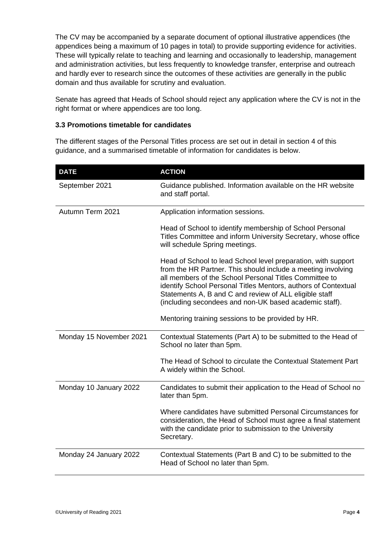The CV may be accompanied by a separate document of optional illustrative appendices (the appendices being a maximum of 10 pages in total) to provide supporting evidence for activities. These will typically relate to teaching and learning and occasionally to leadership, management and administration activities, but less frequently to knowledge transfer, enterprise and outreach and hardly ever to research since the outcomes of these activities are generally in the public domain and thus available for scrutiny and evaluation.

Senate has agreed that Heads of School should reject any application where the CV is not in the right format or where appendices are too long.

### **3.3 Promotions timetable for candidates**

The different stages of the Personal Titles process are set out in detail in section 4 of this guidance, and a summarised timetable of information for candidates is below.

| <b>DATE</b>             | <b>ACTION</b>                                                                                                                                                                                                                                                                                                                                                                 |
|-------------------------|-------------------------------------------------------------------------------------------------------------------------------------------------------------------------------------------------------------------------------------------------------------------------------------------------------------------------------------------------------------------------------|
| September 2021          | Guidance published. Information available on the HR website<br>and staff portal.                                                                                                                                                                                                                                                                                              |
| Autumn Term 2021        | Application information sessions.                                                                                                                                                                                                                                                                                                                                             |
|                         | Head of School to identify membership of School Personal<br>Titles Committee and inform University Secretary, whose office<br>will schedule Spring meetings.                                                                                                                                                                                                                  |
|                         | Head of School to lead School level preparation, with support<br>from the HR Partner. This should include a meeting involving<br>all members of the School Personal Titles Committee to<br>identify School Personal Titles Mentors, authors of Contextual<br>Statements A, B and C and review of ALL eligible staff<br>(including secondees and non-UK based academic staff). |
|                         | Mentoring training sessions to be provided by HR.                                                                                                                                                                                                                                                                                                                             |
| Monday 15 November 2021 | Contextual Statements (Part A) to be submitted to the Head of<br>School no later than 5pm.                                                                                                                                                                                                                                                                                    |
|                         | The Head of School to circulate the Contextual Statement Part<br>A widely within the School.                                                                                                                                                                                                                                                                                  |
| Monday 10 January 2022  | Candidates to submit their application to the Head of School no<br>later than 5pm.                                                                                                                                                                                                                                                                                            |
|                         | Where candidates have submitted Personal Circumstances for<br>consideration, the Head of School must agree a final statement<br>with the candidate prior to submission to the University<br>Secretary.                                                                                                                                                                        |
| Monday 24 January 2022  | Contextual Statements (Part B and C) to be submitted to the<br>Head of School no later than 5pm.                                                                                                                                                                                                                                                                              |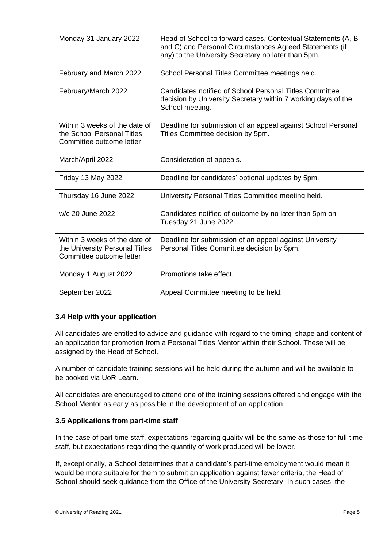| Monday 31 January 2022                                                                      | Head of School to forward cases, Contextual Statements (A, B<br>and C) and Personal Circumstances Agreed Statements (if<br>any) to the University Secretary no later than 5pm. |
|---------------------------------------------------------------------------------------------|--------------------------------------------------------------------------------------------------------------------------------------------------------------------------------|
| February and March 2022                                                                     | School Personal Titles Committee meetings held.                                                                                                                                |
| February/March 2022                                                                         | Candidates notified of School Personal Titles Committee<br>decision by University Secretary within 7 working days of the<br>School meeting.                                    |
| Within 3 weeks of the date of<br>the School Personal Titles<br>Committee outcome letter     | Deadline for submission of an appeal against School Personal<br>Titles Committee decision by 5pm.                                                                              |
| March/April 2022                                                                            | Consideration of appeals.                                                                                                                                                      |
| Friday 13 May 2022                                                                          | Deadline for candidates' optional updates by 5pm.                                                                                                                              |
| Thursday 16 June 2022                                                                       | University Personal Titles Committee meeting held.                                                                                                                             |
| w/c 20 June 2022                                                                            | Candidates notified of outcome by no later than 5pm on<br>Tuesday 21 June 2022.                                                                                                |
| Within 3 weeks of the date of<br>the University Personal Titles<br>Committee outcome letter | Deadline for submission of an appeal against University<br>Personal Titles Committee decision by 5pm.                                                                          |
| Monday 1 August 2022                                                                        | Promotions take effect.                                                                                                                                                        |
| September 2022                                                                              | Appeal Committee meeting to be held.                                                                                                                                           |

### **3.4 Help with your application**

All candidates are entitled to advice and guidance with regard to the timing, shape and content of an application for promotion from a Personal Titles Mentor within their School. These will be assigned by the Head of School.

A number of candidate training sessions will be held during the autumn and will be available to be booked via UoR Learn.

All candidates are encouraged to attend one of the training sessions offered and engage with the School Mentor as early as possible in the development of an application.

### **3.5 Applications from part-time staff**

In the case of part-time staff, expectations regarding quality will be the same as those for full-time staff, but expectations regarding the quantity of work produced will be lower.

If, exceptionally, a School determines that a candidate's part-time employment would mean it would be more suitable for them to submit an application against fewer criteria, the Head of School should seek guidance from the Office of the University Secretary. In such cases, the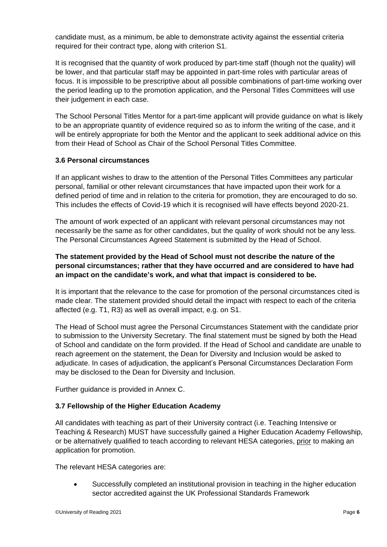candidate must, as a minimum, be able to demonstrate activity against the essential criteria required for their contract type, along with criterion S1.

It is recognised that the quantity of work produced by part-time staff (though not the quality) will be lower, and that particular staff may be appointed in part-time roles with particular areas of focus. It is impossible to be prescriptive about all possible combinations of part-time working over the period leading up to the promotion application, and the Personal Titles Committees will use their judgement in each case.

The School Personal Titles Mentor for a part-time applicant will provide guidance on what is likely to be an appropriate quantity of evidence required so as to inform the writing of the case, and it will be entirely appropriate for both the Mentor and the applicant to seek additional advice on this from their Head of School as Chair of the School Personal Titles Committee.

### **3.6 Personal circumstances**

If an applicant wishes to draw to the attention of the Personal Titles Committees any particular personal, familial or other relevant circumstances that have impacted upon their work for a defined period of time and in relation to the criteria for promotion, they are encouraged to do so. This includes the effects of Covid-19 which it is recognised will have effects beyond 2020-21.

The amount of work expected of an applicant with relevant personal circumstances may not necessarily be the same as for other candidates, but the quality of work should not be any less. The Personal Circumstances Agreed Statement is submitted by the Head of School.

### **The statement provided by the Head of School must not describe the nature of the personal circumstances; rather that they have occurred and are considered to have had an impact on the candidate's work, and what that impact is considered to be.**

It is important that the relevance to the case for promotion of the personal circumstances cited is made clear. The statement provided should detail the impact with respect to each of the criteria affected (e.g. T1, R3) as well as overall impact, e.g. on S1.

The Head of School must agree the Personal Circumstances Statement with the candidate prior to submission to the University Secretary. The final statement must be signed by both the Head of School and candidate on the form provided. If the Head of School and candidate are unable to reach agreement on the statement, the Dean for Diversity and Inclusion would be asked to adjudicate. In cases of adjudication, the applicant's Personal Circumstances Declaration Form may be disclosed to the Dean for Diversity and Inclusion.

Further guidance is provided in Annex C.

### **3.7 Fellowship of the Higher Education Academy**

All candidates with teaching as part of their University contract (i.e. Teaching Intensive or Teaching & Research) MUST have successfully gained a Higher Education Academy Fellowship, or be alternatively qualified to teach according to relevant HESA categories, prior to making an application for promotion.

The relevant HESA categories are:

 Successfully completed an institutional provision in teaching in the higher education sector accredited against the UK Professional Standards Framework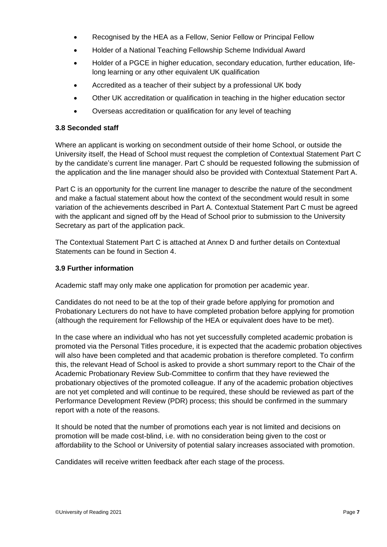- Recognised by the HEA as a Fellow, Senior Fellow or Principal Fellow
- Holder of a National Teaching Fellowship Scheme Individual Award
- Holder of a PGCE in higher education, secondary education, further education, lifelong learning or any other equivalent UK qualification
- Accredited as a teacher of their subject by a professional UK body
- Other UK accreditation or qualification in teaching in the higher education sector
- Overseas accreditation or qualification for any level of teaching

### **3.8 Seconded staff**

Where an applicant is working on secondment outside of their home School, or outside the University itself, the Head of School must request the completion of Contextual Statement Part C by the candidate's current line manager. Part C should be requested following the submission of the application and the line manager should also be provided with Contextual Statement Part A.

Part C is an opportunity for the current line manager to describe the nature of the secondment and make a factual statement about how the context of the secondment would result in some variation of the achievements described in Part A. Contextual Statement Part C must be agreed with the applicant and signed off by the Head of School prior to submission to the University Secretary as part of the application pack.

The Contextual Statement Part C is attached at Annex D and further details on Contextual Statements can be found in Section 4.

### **3.9 Further information**

Academic staff may only make one application for promotion per academic year.

Candidates do not need to be at the top of their grade before applying for promotion and Probationary Lecturers do not have to have completed probation before applying for promotion (although the requirement for Fellowship of the HEA or equivalent does have to be met).

In the case where an individual who has not yet successfully completed academic probation is promoted via the Personal Titles procedure, it is expected that the academic probation objectives will also have been completed and that academic probation is therefore completed. To confirm this, the relevant Head of School is asked to provide a short summary report to the Chair of the Academic Probationary Review Sub-Committee to confirm that they have reviewed the probationary objectives of the promoted colleague. If any of the academic probation objectives are not yet completed and will continue to be required, these should be reviewed as part of the Performance Development Review (PDR) process; this should be confirmed in the summary report with a note of the reasons.

It should be noted that the number of promotions each year is not limited and decisions on promotion will be made cost-blind, i.e. with no consideration being given to the cost or affordability to the School or University of potential salary increases associated with promotion.

Candidates will receive written feedback after each stage of the process.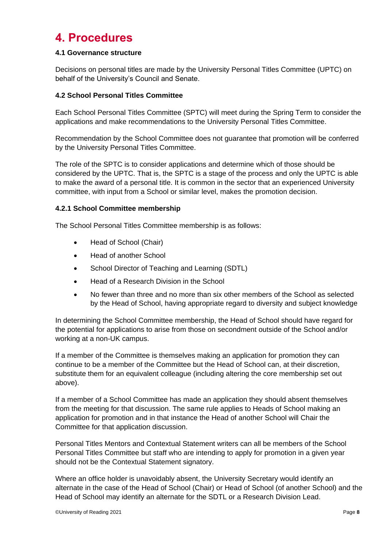### **4. Procedures**

### **4.1 Governance structure**

Decisions on personal titles are made by the University Personal Titles Committee (UPTC) on behalf of the University's Council and Senate.

### **4.2 School Personal Titles Committee**

Each School Personal Titles Committee (SPTC) will meet during the Spring Term to consider the applications and make recommendations to the University Personal Titles Committee.

Recommendation by the School Committee does not guarantee that promotion will be conferred by the University Personal Titles Committee.

The role of the SPTC is to consider applications and determine which of those should be considered by the UPTC. That is, the SPTC is a stage of the process and only the UPTC is able to make the award of a personal title. It is common in the sector that an experienced University committee, with input from a School or similar level, makes the promotion decision.

### **4.2.1 School Committee membership**

The School Personal Titles Committee membership is as follows:

- Head of School (Chair)
- Head of another School
- School Director of Teaching and Learning (SDTL)
- Head of a Research Division in the School
- No fewer than three and no more than six other members of the School as selected by the Head of School, having appropriate regard to diversity and subject knowledge

In determining the School Committee membership, the Head of School should have regard for the potential for applications to arise from those on secondment outside of the School and/or working at a non-UK campus.

If a member of the Committee is themselves making an application for promotion they can continue to be a member of the Committee but the Head of School can, at their discretion, substitute them for an equivalent colleague (including altering the core membership set out above).

If a member of a School Committee has made an application they should absent themselves from the meeting for that discussion. The same rule applies to Heads of School making an application for promotion and in that instance the Head of another School will Chair the Committee for that application discussion.

Personal Titles Mentors and Contextual Statement writers can all be members of the School Personal Titles Committee but staff who are intending to apply for promotion in a given year should not be the Contextual Statement signatory.

Where an office holder is unavoidably absent, the University Secretary would identify an alternate in the case of the Head of School (Chair) or Head of School (of another School) and the Head of School may identify an alternate for the SDTL or a Research Division Lead.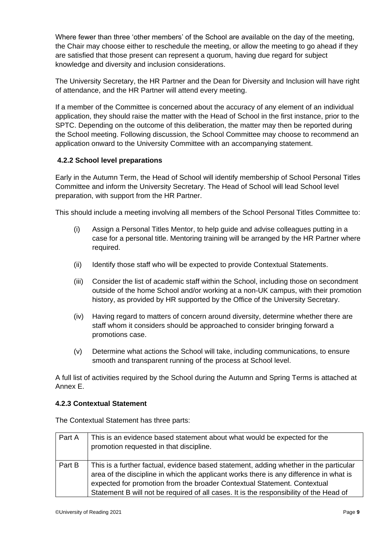Where fewer than three 'other members' of the School are available on the day of the meeting, the Chair may choose either to reschedule the meeting, or allow the meeting to go ahead if they are satisfied that those present can represent a quorum, having due regard for subject knowledge and diversity and inclusion considerations.

The University Secretary, the HR Partner and the Dean for Diversity and Inclusion will have right of attendance, and the HR Partner will attend every meeting.

If a member of the Committee is concerned about the accuracy of any element of an individual application, they should raise the matter with the Head of School in the first instance, prior to the SPTC. Depending on the outcome of this deliberation, the matter may then be reported during the School meeting. Following discussion, the School Committee may choose to recommend an application onward to the University Committee with an accompanying statement.

### **4.2.2 School level preparations**

Early in the Autumn Term, the Head of School will identify membership of School Personal Titles Committee and inform the University Secretary. The Head of School will lead School level preparation, with support from the HR Partner.

This should include a meeting involving all members of the School Personal Titles Committee to:

- (i) Assign a Personal Titles Mentor, to help guide and advise colleagues putting in a case for a personal title. Mentoring training will be arranged by the HR Partner where required.
- (ii) Identify those staff who will be expected to provide Contextual Statements.
- (iii) Consider the list of academic staff within the School, including those on secondment outside of the home School and/or working at a non-UK campus, with their promotion history, as provided by HR supported by the Office of the University Secretary.
- (iv) Having regard to matters of concern around diversity, determine whether there are staff whom it considers should be approached to consider bringing forward a promotions case.
- (v) Determine what actions the School will take, including communications, to ensure smooth and transparent running of the process at School level.

A full list of activities required by the School during the Autumn and Spring Terms is attached at Annex E.

### **4.2.3 Contextual Statement**

The Contextual Statement has three parts:

| Part A | This is an evidence based statement about what would be expected for the<br>promotion requested in that discipline.                                                                                                                                                                                                                                   |
|--------|-------------------------------------------------------------------------------------------------------------------------------------------------------------------------------------------------------------------------------------------------------------------------------------------------------------------------------------------------------|
| Part B | This is a further factual, evidence based statement, adding whether in the particular<br>area of the discipline in which the applicant works there is any difference in what is<br>expected for promotion from the broader Contextual Statement. Contextual<br>Statement B will not be required of all cases. It is the responsibility of the Head of |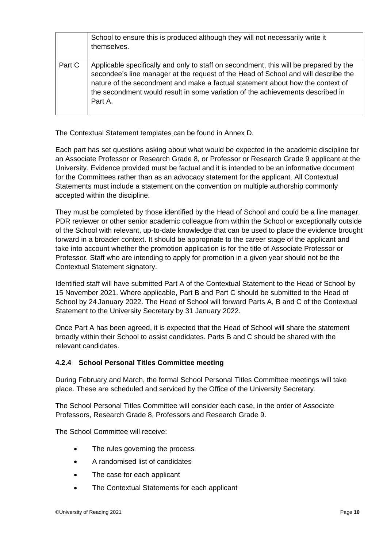|        | School to ensure this is produced although they will not necessarily write it<br>themselves.                                                                                                                                                                                                                                                               |
|--------|------------------------------------------------------------------------------------------------------------------------------------------------------------------------------------------------------------------------------------------------------------------------------------------------------------------------------------------------------------|
| Part C | Applicable specifically and only to staff on secondment, this will be prepared by the<br>secondee's line manager at the request of the Head of School and will describe the<br>nature of the secondment and make a factual statement about how the context of<br>the secondment would result in some variation of the achievements described in<br>Part A. |

The Contextual Statement templates can be found in Annex D.

Each part has set questions asking about what would be expected in the academic discipline for an Associate Professor or Research Grade 8, or Professor or Research Grade 9 applicant at the University. Evidence provided must be factual and it is intended to be an informative document for the Committees rather than as an advocacy statement for the applicant. All Contextual Statements must include a statement on the convention on multiple authorship commonly accepted within the discipline.

They must be completed by those identified by the Head of School and could be a line manager, PDR reviewer or other senior academic colleague from within the School or exceptionally outside of the School with relevant, up-to-date knowledge that can be used to place the evidence brought forward in a broader context. It should be appropriate to the career stage of the applicant and take into account whether the promotion application is for the title of Associate Professor or Professor. Staff who are intending to apply for promotion in a given year should not be the Contextual Statement signatory.

Identified staff will have submitted Part A of the Contextual Statement to the Head of School by 15 November 2021. Where applicable, Part B and Part C should be submitted to the Head of School by 24 January 2022. The Head of School will forward Parts A, B and C of the Contextual Statement to the University Secretary by 31 January 2022.

Once Part A has been agreed, it is expected that the Head of School will share the statement broadly within their School to assist candidates. Parts B and C should be shared with the relevant candidates.

### **4.2.4 School Personal Titles Committee meeting**

During February and March, the formal School Personal Titles Committee meetings will take place. These are scheduled and serviced by the Office of the University Secretary.

The School Personal Titles Committee will consider each case, in the order of Associate Professors, Research Grade 8, Professors and Research Grade 9.

The School Committee will receive:

- The rules governing the process
- A randomised list of candidates
- The case for each applicant
- The Contextual Statements for each applicant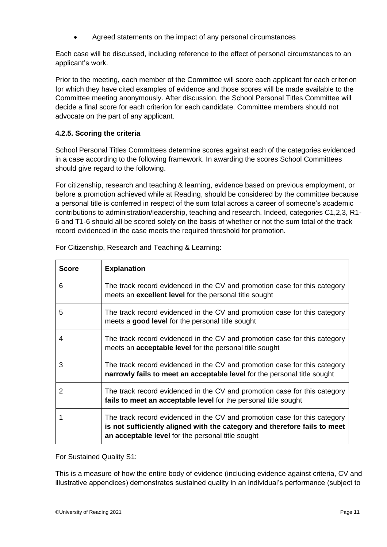Agreed statements on the impact of any personal circumstances

Each case will be discussed, including reference to the effect of personal circumstances to an applicant's work.

Prior to the meeting, each member of the Committee will score each applicant for each criterion for which they have cited examples of evidence and those scores will be made available to the Committee meeting anonymously. After discussion, the School Personal Titles Committee will decide a final score for each criterion for each candidate. Committee members should not advocate on the part of any applicant.

### **4.2.5. Scoring the criteria**

School Personal Titles Committees determine scores against each of the categories evidenced in a case according to the following framework. In awarding the scores School Committees should give regard to the following.

For citizenship, research and teaching & learning, evidence based on previous employment, or before a promotion achieved while at Reading, should be considered by the committee because a personal title is conferred in respect of the sum total across a career of someone's academic contributions to administration/leadership, teaching and research. Indeed, categories C1,2,3, R1- 6 and T1-6 should all be scored solely on the basis of whether or not the sum total of the track record evidenced in the case meets the required threshold for promotion.

| <b>Score</b> | <b>Explanation</b>                                                                                                                                                                                          |
|--------------|-------------------------------------------------------------------------------------------------------------------------------------------------------------------------------------------------------------|
| 6            | The track record evidenced in the CV and promotion case for this category<br>meets an <b>excellent level</b> for the personal title sought                                                                  |
| 5            | The track record evidenced in the CV and promotion case for this category<br>meets a good level for the personal title sought                                                                               |
| 4            | The track record evidenced in the CV and promotion case for this category<br>meets an <b>acceptable level</b> for the personal title sought                                                                 |
| 3            | The track record evidenced in the CV and promotion case for this category<br>narrowly fails to meet an acceptable level for the personal title sought                                                       |
| 2            | The track record evidenced in the CV and promotion case for this category<br>fails to meet an acceptable level for the personal title sought                                                                |
| 1            | The track record evidenced in the CV and promotion case for this category<br>is not sufficiently aligned with the category and therefore fails to meet<br>an acceptable level for the personal title sought |

For Citizenship, Research and Teaching & Learning:

For Sustained Quality S1:

This is a measure of how the entire body of evidence (including evidence against criteria, CV and illustrative appendices) demonstrates sustained quality in an individual's performance (subject to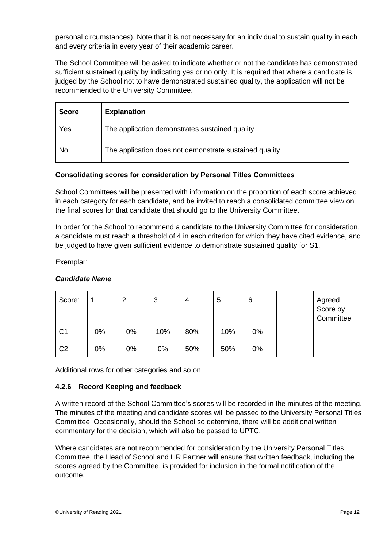personal circumstances). Note that it is not necessary for an individual to sustain quality in each and every criteria in every year of their academic career.

The School Committee will be asked to indicate whether or not the candidate has demonstrated sufficient sustained quality by indicating yes or no only. It is required that where a candidate is judged by the School not to have demonstrated sustained quality, the application will not be recommended to the University Committee.

| <b>Score</b> | <b>Explanation</b>                                     |
|--------------|--------------------------------------------------------|
| Yes          | The application demonstrates sustained quality         |
| No           | The application does not demonstrate sustained quality |

### **Consolidating scores for consideration by Personal Titles Committees**

School Committees will be presented with information on the proportion of each score achieved in each category for each candidate, and be invited to reach a consolidated committee view on the final scores for that candidate that should go to the University Committee.

In order for the School to recommend a candidate to the University Committee for consideration, a candidate must reach a threshold of 4 in each criterion for which they have cited evidence, and be judged to have given sufficient evidence to demonstrate sustained quality for S1.

Exemplar:

| Score:         |    | 2  | 3   | 4   | 5   | 6  | Agreed<br>Score by<br>Committee |
|----------------|----|----|-----|-----|-----|----|---------------------------------|
| C <sub>1</sub> | 0% | 0% | 10% | 80% | 10% | 0% |                                 |
| C <sub>2</sub> | 0% | 0% | 0%  | 50% | 50% | 0% |                                 |

#### *Candidate Name*

Additional rows for other categories and so on.

### **4.2.6 Record Keeping and feedback**

A written record of the School Committee's scores will be recorded in the minutes of the meeting. The minutes of the meeting and candidate scores will be passed to the University Personal Titles Committee. Occasionally, should the School so determine, there will be additional written commentary for the decision, which will also be passed to UPTC.

Where candidates are not recommended for consideration by the University Personal Titles Committee, the Head of School and HR Partner will ensure that written feedback, including the scores agreed by the Committee, is provided for inclusion in the formal notification of the outcome.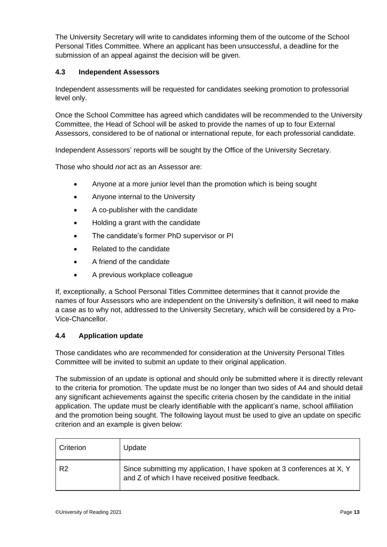The University Secretary will write to candidates informing them of the outcome of the School Personal Titles Committee. Where an applicant has been unsuccessful, a deadline for the submission of an appeal against the decision will be given.

### **4.3 Independent Assessors**

Independent assessments will be requested for candidates seeking promotion to professorial level only.

Once the School Committee has agreed which candidates will be recommended to the University Committee, the Head of School will be asked to provide the names of up to four External Assessors, considered to be of national or international repute, for each professorial candidate.

Independent Assessors' reports will be sought by the Office of the University Secretary.

Those who should *not* act as an Assessor are:

- Anyone at a more junior level than the promotion which is being sought
- Anyone internal to the University
- A co-publisher with the candidate
- Holding a grant with the candidate
- The candidate's former PhD supervisor or PI
- Related to the candidate
- A friend of the candidate
- A previous workplace colleague

If, exceptionally, a School Personal Titles Committee determines that it cannot provide the names of four Assessors who are independent on the University's definition, it will need to make a case as to why not, addressed to the University Secretary, which will be considered by a Pro-Vice-Chancellor.

### **4.4 Application update**

Those candidates who are recommended for consideration at the University Personal Titles Committee will be invited to submit an update to their original application.

The submission of an update is optional and should only be submitted where it is directly relevant to the criteria for promotion. The update must be no longer than two sides of A4 and should detail any significant achievements against the specific criteria chosen by the candidate in the initial application. The update must be clearly identifiable with the applicant's name, school affiliation and the promotion being sought. The following layout must be used to give an update on specific criterion and an example is given below:

| Criterion      | Update                                                                                                                       |
|----------------|------------------------------------------------------------------------------------------------------------------------------|
| R <sub>2</sub> | Since submitting my application, I have spoken at 3 conferences at X, Y<br>and Z of which I have received positive feedback. |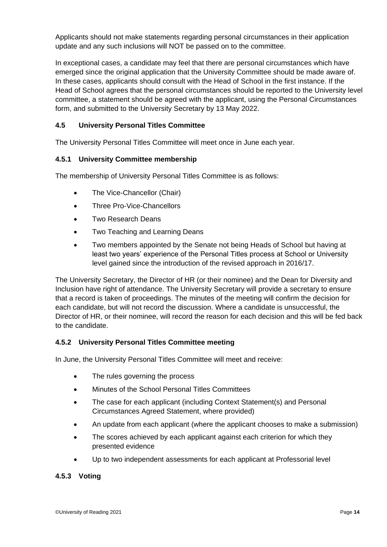Applicants should not make statements regarding personal circumstances in their application update and any such inclusions will NOT be passed on to the committee.

In exceptional cases, a candidate may feel that there are personal circumstances which have emerged since the original application that the University Committee should be made aware of. In these cases, applicants should consult with the Head of School in the first instance. If the Head of School agrees that the personal circumstances should be reported to the University level committee, a statement should be agreed with the applicant, using the Personal Circumstances form, and submitted to the University Secretary by 13 May 2022.

### **4.5 University Personal Titles Committee**

The University Personal Titles Committee will meet once in June each year.

### **4.5.1 University Committee membership**

The membership of University Personal Titles Committee is as follows:

- The Vice-Chancellor (Chair)
- Three Pro-Vice-Chancellors
- Two Research Deans
- Two Teaching and Learning Deans
- Two members appointed by the Senate not being Heads of School but having at least two years' experience of the Personal Titles process at School or University level gained since the introduction of the revised approach in 2016/17.

The University Secretary, the Director of HR (or their nominee) and the Dean for Diversity and Inclusion have right of attendance. The University Secretary will provide a secretary to ensure that a record is taken of proceedings. The minutes of the meeting will confirm the decision for each candidate, but will not record the discussion. Where a candidate is unsuccessful, the Director of HR, or their nominee, will record the reason for each decision and this will be fed back to the candidate.

### **4.5.2 University Personal Titles Committee meeting**

In June, the University Personal Titles Committee will meet and receive:

- The rules governing the process
- Minutes of the School Personal Titles Committees
- The case for each applicant (including Context Statement(s) and Personal Circumstances Agreed Statement, where provided)
- An update from each applicant (where the applicant chooses to make a submission)
- The scores achieved by each applicant against each criterion for which they presented evidence
- Up to two independent assessments for each applicant at Professorial level

#### **4.5.3 Voting**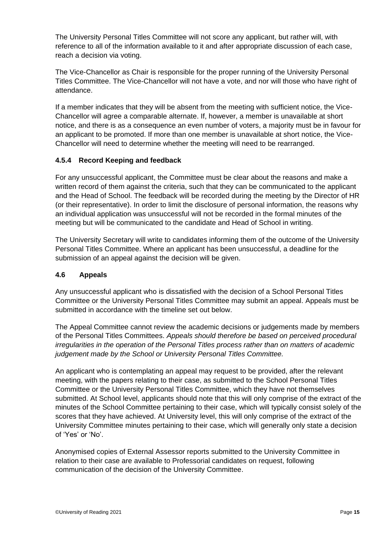The University Personal Titles Committee will not score any applicant, but rather will, with reference to all of the information available to it and after appropriate discussion of each case, reach a decision via voting.

The Vice-Chancellor as Chair is responsible for the proper running of the University Personal Titles Committee. The Vice-Chancellor will not have a vote, and nor will those who have right of attendance.

If a member indicates that they will be absent from the meeting with sufficient notice, the Vice-Chancellor will agree a comparable alternate. If, however, a member is unavailable at short notice, and there is as a consequence an even number of voters, a majority must be in favour for an applicant to be promoted. If more than one member is unavailable at short notice, the Vice-Chancellor will need to determine whether the meeting will need to be rearranged.

### **4.5.4 Record Keeping and feedback**

For any unsuccessful applicant, the Committee must be clear about the reasons and make a written record of them against the criteria, such that they can be communicated to the applicant and the Head of School. The feedback will be recorded during the meeting by the Director of HR (or their representative). In order to limit the disclosure of personal information, the reasons why an individual application was unsuccessful will not be recorded in the formal minutes of the meeting but will be communicated to the candidate and Head of School in writing.

The University Secretary will write to candidates informing them of the outcome of the University Personal Titles Committee. Where an applicant has been unsuccessful, a deadline for the submission of an appeal against the decision will be given.

### **4.6 Appeals**

Any unsuccessful applicant who is dissatisfied with the decision of a School Personal Titles Committee or the University Personal Titles Committee may submit an appeal. Appeals must be submitted in accordance with the timeline set out below.

The Appeal Committee cannot review the academic decisions or judgements made by members of the Personal Titles Committees. *Appeals should therefore be based on perceived procedural irregularities in the operation of the Personal Titles process rather than on matters of academic judgement made by the School or University Personal Titles Committee.* 

An applicant who is contemplating an appeal may request to be provided, after the relevant meeting, with the papers relating to their case, as submitted to the School Personal Titles Committee or the University Personal Titles Committee, which they have not themselves submitted. At School level, applicants should note that this will only comprise of the extract of the minutes of the School Committee pertaining to their case, which will typically consist solely of the scores that they have achieved. At University level, this will only comprise of the extract of the University Committee minutes pertaining to their case, which will generally only state a decision of 'Yes' or 'No'.

Anonymised copies of External Assessor reports submitted to the University Committee in relation to their case are available to Professorial candidates on request, following communication of the decision of the University Committee.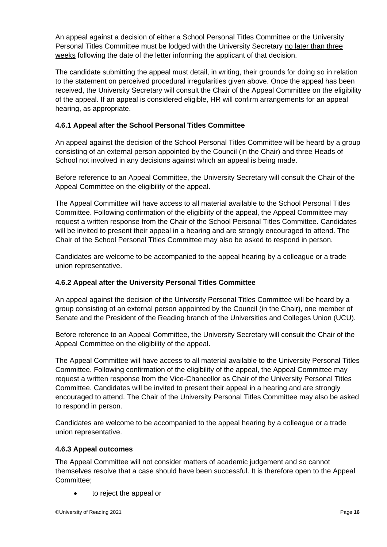An appeal against a decision of either a School Personal Titles Committee or the University Personal Titles Committee must be lodged with the University Secretary no later than three weeks following the date of the letter informing the applicant of that decision.

The candidate submitting the appeal must detail, in writing, their grounds for doing so in relation to the statement on perceived procedural irregularities given above. Once the appeal has been received, the University Secretary will consult the Chair of the Appeal Committee on the eligibility of the appeal. If an appeal is considered eligible, HR will confirm arrangements for an appeal hearing, as appropriate.

### **4.6.1 Appeal after the School Personal Titles Committee**

An appeal against the decision of the School Personal Titles Committee will be heard by a group consisting of an external person appointed by the Council (in the Chair) and three Heads of School not involved in any decisions against which an appeal is being made.

Before reference to an Appeal Committee, the University Secretary will consult the Chair of the Appeal Committee on the eligibility of the appeal.

The Appeal Committee will have access to all material available to the School Personal Titles Committee. Following confirmation of the eligibility of the appeal, the Appeal Committee may request a written response from the Chair of the School Personal Titles Committee. Candidates will be invited to present their appeal in a hearing and are strongly encouraged to attend. The Chair of the School Personal Titles Committee may also be asked to respond in person.

Candidates are welcome to be accompanied to the appeal hearing by a colleague or a trade union representative.

### **4.6.2 Appeal after the University Personal Titles Committee**

An appeal against the decision of the University Personal Titles Committee will be heard by a group consisting of an external person appointed by the Council (in the Chair), one member of Senate and the President of the Reading branch of the Universities and Colleges Union (UCU).

Before reference to an Appeal Committee, the University Secretary will consult the Chair of the Appeal Committee on the eligibility of the appeal.

The Appeal Committee will have access to all material available to the University Personal Titles Committee. Following confirmation of the eligibility of the appeal, the Appeal Committee may request a written response from the Vice-Chancellor as Chair of the University Personal Titles Committee. Candidates will be invited to present their appeal in a hearing and are strongly encouraged to attend. The Chair of the University Personal Titles Committee may also be asked to respond in person.

Candidates are welcome to be accompanied to the appeal hearing by a colleague or a trade union representative.

### **4.6.3 Appeal outcomes**

The Appeal Committee will not consider matters of academic judgement and so cannot themselves resolve that a case should have been successful. It is therefore open to the Appeal Committee;

to reject the appeal or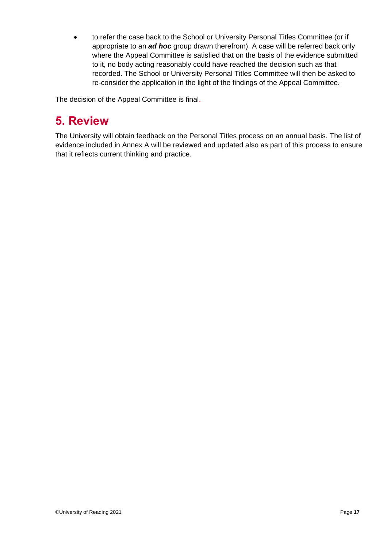to refer the case back to the School or University Personal Titles Committee (or if appropriate to an *ad hoc* group drawn therefrom). A case will be referred back only where the Appeal Committee is satisfied that on the basis of the evidence submitted to it, no body acting reasonably could have reached the decision such as that recorded. The School or University Personal Titles Committee will then be asked to re-consider the application in the light of the findings of the Appeal Committee.

The decision of the Appeal Committee is final.

### **5. Review**

The University will obtain feedback on the Personal Titles process on an annual basis. The list of evidence included in Annex A will be reviewed and updated also as part of this process to ensure that it reflects current thinking and practice.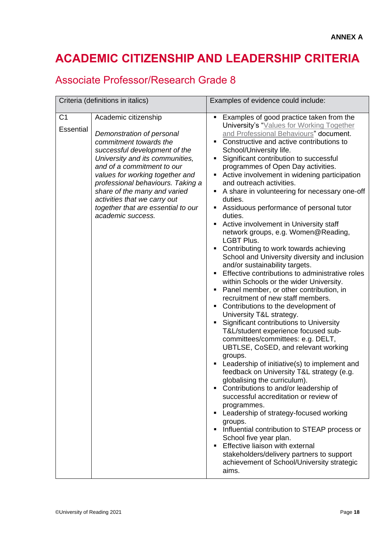### **ACADEMIC CITIZENSHIP AND LEADERSHIP CRITERIA**

### Associate Professor/Research Grade 8

| Criteria (definitions in italics) |                                                                                                                                                                                                                                                                                                                                                                                  | Examples of evidence could include:                                                                                                                                                                                                                                                                                                                                                                                                                                                                                                                                                                                                                                                                                                                                                                                                                                                                                                                                                                                                                                                                                                                                                                                                                                                                                                                                                                                                                                                                                                                                                                                                                               |  |  |
|-----------------------------------|----------------------------------------------------------------------------------------------------------------------------------------------------------------------------------------------------------------------------------------------------------------------------------------------------------------------------------------------------------------------------------|-------------------------------------------------------------------------------------------------------------------------------------------------------------------------------------------------------------------------------------------------------------------------------------------------------------------------------------------------------------------------------------------------------------------------------------------------------------------------------------------------------------------------------------------------------------------------------------------------------------------------------------------------------------------------------------------------------------------------------------------------------------------------------------------------------------------------------------------------------------------------------------------------------------------------------------------------------------------------------------------------------------------------------------------------------------------------------------------------------------------------------------------------------------------------------------------------------------------------------------------------------------------------------------------------------------------------------------------------------------------------------------------------------------------------------------------------------------------------------------------------------------------------------------------------------------------------------------------------------------------------------------------------------------------|--|--|
| C <sub>1</sub><br>Essential       | Academic citizenship<br>Demonstration of personal<br>commitment towards the<br>successful development of the<br>University and its communities,<br>and of a commitment to our<br>values for working together and<br>professional behaviours. Taking a<br>share of the many and varied<br>activities that we carry out<br>together that are essential to our<br>academic success. | Examples of good practice taken from the<br>University's "Values for Working Together<br>and Professional Behaviours" document.<br>Constructive and active contributions to<br>School/University life.<br>Significant contribution to successful<br>programmes of Open Day activities.<br>Active involvement in widening participation<br>and outreach activities.<br>A share in volunteering for necessary one-off<br>٠<br>duties.<br>Assiduous performance of personal tutor<br>duties.<br>Active involvement in University staff<br>٠<br>network groups, e.g. Women@Reading,<br><b>LGBT Plus.</b><br>Contributing to work towards achieving<br>School and University diversity and inclusion<br>and/or sustainability targets.<br>Effective contributions to administrative roles<br>within Schools or the wider University.<br>Panel member, or other contribution, in<br>recruitment of new staff members.<br>Contributions to the development of<br>University T&L strategy.<br>Significant contributions to University<br>T&L/student experience focused sub-<br>committees/committees: e.g. DELT,<br>UBTLSE, CoSED, and relevant working<br>groups.<br>Leadership of initiative(s) to implement and<br>feedback on University T&L strategy (e.g.<br>globalising the curriculum).<br>Contributions to and/or leadership of<br>successful accreditation or review of<br>programmes.<br>• Leadership of strategy-focused working<br>groups.<br>Influential contribution to STEAP process or<br>School five year plan.<br>Effective liaison with external<br>stakeholders/delivery partners to support<br>achievement of School/University strategic<br>aims. |  |  |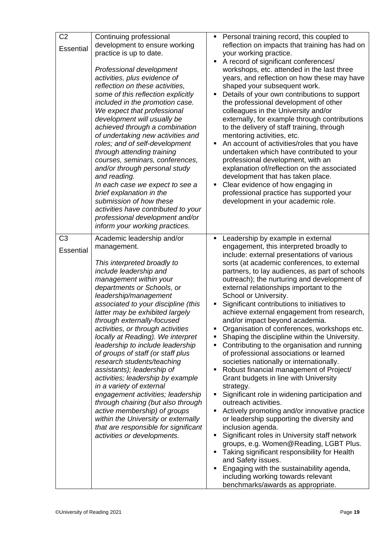| C <sub>2</sub><br><b>Essential</b> | Continuing professional<br>development to ensure working<br>practice is up to date.<br>Professional development<br>activities, plus evidence of<br>reflection on these activities,<br>some of this reflection explicitly<br>included in the promotion case.<br>We expect that professional<br>development will usually be<br>achieved through a combination<br>of undertaking new activities and<br>roles; and of self-development<br>through attending training<br>courses, seminars, conferences,<br>and/or through personal study<br>and reading.<br>In each case we expect to see a<br>brief explanation in the<br>submission of how these<br>activities have contributed to your<br>professional development and/or<br>inform your working practices.                                           | Personal training record, this coupled to<br>٠<br>reflection on impacts that training has had on<br>your working practice.<br>A record of significant conferences/<br>$\blacksquare$<br>workshops, etc. attended in the last three<br>years, and reflection on how these may have<br>shaped your subsequent work.<br>Details of your own contributions to support<br>п<br>the professional development of other<br>colleagues in the University and/or<br>externally, for example through contributions<br>to the delivery of staff training, through<br>mentoring activities, etc.<br>An account of activities/roles that you have<br>undertaken which have contributed to your<br>professional development, with an<br>explanation of/reflection on the associated<br>development that has taken place.<br>Clear evidence of how engaging in<br>Ξ<br>professional practice has supported your<br>development in your academic role.                                                                                                                                                                                                                                                                                                                                                                                      |
|------------------------------------|------------------------------------------------------------------------------------------------------------------------------------------------------------------------------------------------------------------------------------------------------------------------------------------------------------------------------------------------------------------------------------------------------------------------------------------------------------------------------------------------------------------------------------------------------------------------------------------------------------------------------------------------------------------------------------------------------------------------------------------------------------------------------------------------------|----------------------------------------------------------------------------------------------------------------------------------------------------------------------------------------------------------------------------------------------------------------------------------------------------------------------------------------------------------------------------------------------------------------------------------------------------------------------------------------------------------------------------------------------------------------------------------------------------------------------------------------------------------------------------------------------------------------------------------------------------------------------------------------------------------------------------------------------------------------------------------------------------------------------------------------------------------------------------------------------------------------------------------------------------------------------------------------------------------------------------------------------------------------------------------------------------------------------------------------------------------------------------------------------------------------------------|
| C <sub>3</sub><br>Essential        | Academic leadership and/or<br>management.<br>This interpreted broadly to<br>include leadership and<br>management within your<br>departments or Schools, or<br>leadership/management<br>associated to your discipline (this<br>latter may be exhibited largely<br>through externally-focused<br>activities, or through activities<br>locally at Reading). We interpret<br>leadership to include leadership<br>of groups of staff (or staff plus<br>research students/teaching<br>assistants); leadership of<br>activities; leadership by example<br>in a variety of external<br>engagement activities; leadership<br>through chairing (but also through<br>active membership) of groups<br>within the University or externally<br>that are responsible for significant<br>activities or developments. | Leadership by example in external<br>engagement, this interpreted broadly to<br>include: external presentations of various<br>sorts (at academic conferences, to external<br>partners, to lay audiences, as part of schools<br>outreach); the nurturing and development of<br>external relationships important to the<br>School or University.<br>Significant contributions to initiatives to<br>achieve external engagement from research,<br>and/or impact beyond academia.<br>Organisation of conferences, workshops etc.<br>Shaping the discipline within the University.<br>Contributing to the organisation and running<br>of professional associations or learned<br>societies nationally or internationally.<br>Robust financial management of Project/<br>п<br>Grant budgets in line with University<br>strategy.<br>Significant role in widening participation and<br>outreach activities.<br>Actively promoting and/or innovative practice<br>٠<br>or leadership supporting the diversity and<br>inclusion agenda.<br>Significant roles in University staff network<br>٠<br>groups, e.g. Women@Reading, LGBT Plus.<br>Taking significant responsibility for Health<br>and Safety issues.<br>Engaging with the sustainability agenda,<br>including working towards relevant<br>benchmarks/awards as appropriate. |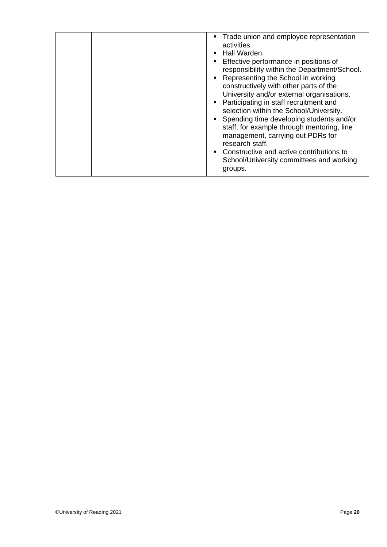| • Trade union and employee representation<br>activities.<br>Hall Warden.<br>п<br>Effective performance in positions of<br>п<br>responsibility within the Department/School.<br>Representing the School in working<br>п<br>constructively with other parts of the<br>University and/or external organisations.<br>Participating in staff recruitment and<br>selection within the School/University.<br>Spending time developing students and/or<br>$\blacksquare$<br>staff, for example through mentoring, line<br>management, carrying out PDRs for<br>research staff.<br>Constructive and active contributions to<br>$\blacksquare$<br>School/University committees and working<br>groups. |
|---------------------------------------------------------------------------------------------------------------------------------------------------------------------------------------------------------------------------------------------------------------------------------------------------------------------------------------------------------------------------------------------------------------------------------------------------------------------------------------------------------------------------------------------------------------------------------------------------------------------------------------------------------------------------------------------|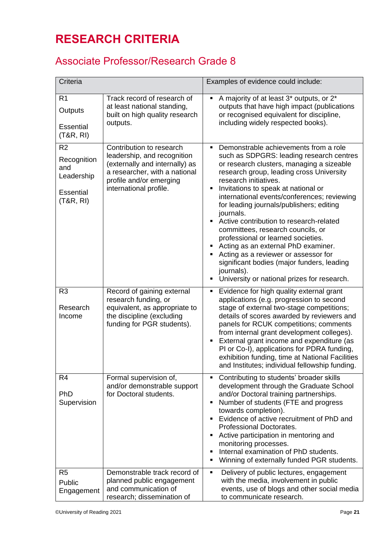### **RESEARCH CRITERIA**

### Associate Professor/Research Grade 8

| Criteria                                                                    |                                                                                                                                                                                 | Examples of evidence could include:                                                                                                                                                                                                                                                                                                                                                                                                                                                                                                                                                                                                                                     |
|-----------------------------------------------------------------------------|---------------------------------------------------------------------------------------------------------------------------------------------------------------------------------|-------------------------------------------------------------------------------------------------------------------------------------------------------------------------------------------------------------------------------------------------------------------------------------------------------------------------------------------------------------------------------------------------------------------------------------------------------------------------------------------------------------------------------------------------------------------------------------------------------------------------------------------------------------------------|
| R <sub>1</sub><br>Outputs<br><b>Essential</b><br>(T&R, R)                   | Track record of research of<br>at least national standing,<br>built on high quality research<br>outputs.                                                                        | A majority of at least 3 <sup>*</sup> outputs, or 2 <sup>*</sup><br>outputs that have high impact (publications<br>or recognised equivalent for discipline,<br>including widely respected books).                                                                                                                                                                                                                                                                                                                                                                                                                                                                       |
| R <sub>2</sub><br>Recognition<br>and<br>Leadership<br>Essential<br>(T&R, R) | Contribution to research<br>leadership, and recognition<br>(externally and internally) as<br>a researcher, with a national<br>profile and/or emerging<br>international profile. | Demonstrable achievements from a role<br>٠<br>such as SDPGRS: leading research centres<br>or research clusters, managing a sizeable<br>research group, leading cross University<br>research initiatives.<br>Invitations to speak at national or<br>international events/conferences; reviewing<br>for leading journals/publishers; editing<br>journals.<br>Active contribution to research-related<br>committees, research councils, or<br>professional or learned societies.<br>Acting as an external PhD examiner.<br>Acting as a reviewer or assessor for<br>significant bodies (major funders, leading<br>journals).<br>University or national prizes for research. |
| R <sub>3</sub><br>Research<br>Income                                        | Record of gaining external<br>research funding, or<br>equivalent, as appropriate to<br>the discipline (excluding<br>funding for PGR students).                                  | Evidence for high quality external grant<br>٠<br>applications (e.g. progression to second<br>stage of external two-stage competitions;<br>details of scores awarded by reviewers and<br>panels for RCUK competitions; comments<br>from internal grant development colleges).<br>External grant income and expenditure (as<br>PI or Co-I), applications for PDRA funding,<br>exhibition funding, time at National Facilities<br>and Institutes; individual fellowship funding.                                                                                                                                                                                           |
| R <sub>4</sub><br>PhD<br>Supervision                                        | Formal supervision of,<br>and/or demonstrable support<br>for Doctoral students.                                                                                                 | Contributing to students' broader skills<br>development through the Graduate School<br>and/or Doctoral training partnerships.<br>Number of students (FTE and progress<br>towards completion).<br>Evidence of active recruitment of PhD and<br>Professional Doctorates.<br>Active participation in mentoring and<br>monitoring processes.<br>Internal examination of PhD students.<br>Winning of externally funded PGR students.                                                                                                                                                                                                                                         |
| R <sub>5</sub><br>Public<br>Engagement                                      | Demonstrable track record of<br>planned public engagement<br>and communication of<br>research; dissemination of                                                                 | Delivery of public lectures, engagement<br>٠<br>with the media, involvement in public<br>events, use of blogs and other social media<br>to communicate research.                                                                                                                                                                                                                                                                                                                                                                                                                                                                                                        |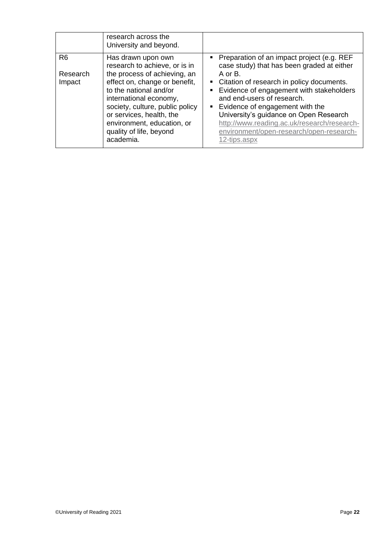|                                      | research across the<br>University and beyond.                                                                                                                                                                                                                                                                 |                                                                                                                                                                                                                                                                                                                                                                                                                             |
|--------------------------------------|---------------------------------------------------------------------------------------------------------------------------------------------------------------------------------------------------------------------------------------------------------------------------------------------------------------|-----------------------------------------------------------------------------------------------------------------------------------------------------------------------------------------------------------------------------------------------------------------------------------------------------------------------------------------------------------------------------------------------------------------------------|
| R <sub>6</sub><br>Research<br>Impact | Has drawn upon own<br>research to achieve, or is in<br>the process of achieving, an<br>effect on, change or benefit,<br>to the national and/or<br>international economy,<br>society, culture, public policy<br>or services, health, the<br>environment, education, or<br>quality of life, beyond<br>academia. | Preparation of an impact project (e.g. REF<br>case study) that has been graded at either<br>$A$ or $B$ .<br>• Citation of research in policy documents.<br>Evidence of engagement with stakeholders<br>and end-users of research.<br>• Evidence of engagement with the<br>University's guidance on Open Research<br>http://www.reading.ac.uk/research/research-<br>environment/open-research/open-research-<br>12-tips.aspx |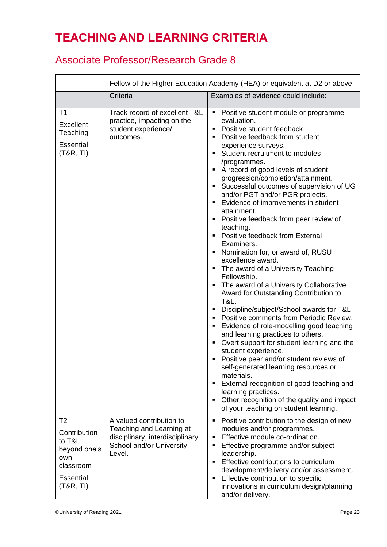### **TEACHING AND LEARNING CRITERIA**

### Associate Professor/Research Grade 8

|                                                                                                               | Fellow of the Higher Education Academy (HEA) or equivalent at D2 or above                                                     |                                                                                                                                                                                                                                                                                                                                                                                                                                                                                                                                                                                                                                                                                                                                                                                                                                                                                                                                                                                                                                                                                                                                                                                                                                                                    |
|---------------------------------------------------------------------------------------------------------------|-------------------------------------------------------------------------------------------------------------------------------|--------------------------------------------------------------------------------------------------------------------------------------------------------------------------------------------------------------------------------------------------------------------------------------------------------------------------------------------------------------------------------------------------------------------------------------------------------------------------------------------------------------------------------------------------------------------------------------------------------------------------------------------------------------------------------------------------------------------------------------------------------------------------------------------------------------------------------------------------------------------------------------------------------------------------------------------------------------------------------------------------------------------------------------------------------------------------------------------------------------------------------------------------------------------------------------------------------------------------------------------------------------------|
|                                                                                                               | Criteria                                                                                                                      | Examples of evidence could include:                                                                                                                                                                                                                                                                                                                                                                                                                                                                                                                                                                                                                                                                                                                                                                                                                                                                                                                                                                                                                                                                                                                                                                                                                                |
| T <sub>1</sub><br>Excellent<br>Teaching<br><b>Essential</b><br>(T&R, TI)                                      | Track record of excellent T&L<br>practice, impacting on the<br>student experience/<br>outcomes.                               | Positive student module or programme<br>٠.<br>evaluation.<br>Positive student feedback.<br>٠<br>Positive feedback from student<br>experience surveys.<br>Student recruitment to modules<br>/programmes.<br>A record of good levels of student<br>progression/completion/attainment.<br>Successful outcomes of supervision of UG<br>and/or PGT and/or PGR projects.<br>Evidence of improvements in student<br>attainment.<br>Positive feedback from peer review of<br>teaching.<br>Positive feedback from External<br>Examiners.<br>Nomination for, or award of, RUSU<br>excellence award.<br>• The award of a University Teaching<br>Fellowship.<br>The award of a University Collaborative<br>Award for Outstanding Contribution to<br><b>T&amp;L.</b><br>Discipline/subject/School awards for T&L.<br>Positive comments from Periodic Review.<br>Evidence of role-modelling good teaching<br>and learning practices to others.<br>Overt support for student learning and the<br>student experience.<br>Positive peer and/or student reviews of<br>self-generated learning resources or<br>materials.<br>External recognition of good teaching and<br>learning practices.<br>Other recognition of the quality and impact<br>of your teaching on student learning. |
| T <sub>2</sub><br>Contribution<br>to T&L<br>beyond one's<br>own<br>classroom<br><b>Essential</b><br>(T&R, TI) | A valued contribution to<br>Teaching and Learning at<br>disciplinary, interdisciplinary<br>School and/or University<br>Level. | Positive contribution to the design of new<br>٠<br>modules and/or programmes.<br>Effective module co-ordination.<br>$\blacksquare$<br>Effective programme and/or subject<br>leadership.<br>Effective contributions to curriculum<br>development/delivery and/or assessment.<br>Effective contribution to specific<br>innovations in curriculum design/planning<br>and/or delivery.                                                                                                                                                                                                                                                                                                                                                                                                                                                                                                                                                                                                                                                                                                                                                                                                                                                                                 |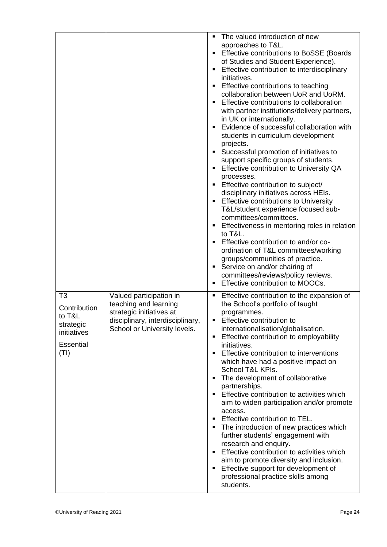|                                                                                                  |                                                                                                                                                  | The valued introduction of new<br>٠                                                                                                                                                                                                                                                                                                                                                                                                                                                                                                                                                                                                                                                                                                                                                                                                                                                                                                                                                                                                                                                                                                   |
|--------------------------------------------------------------------------------------------------|--------------------------------------------------------------------------------------------------------------------------------------------------|---------------------------------------------------------------------------------------------------------------------------------------------------------------------------------------------------------------------------------------------------------------------------------------------------------------------------------------------------------------------------------------------------------------------------------------------------------------------------------------------------------------------------------------------------------------------------------------------------------------------------------------------------------------------------------------------------------------------------------------------------------------------------------------------------------------------------------------------------------------------------------------------------------------------------------------------------------------------------------------------------------------------------------------------------------------------------------------------------------------------------------------|
|                                                                                                  |                                                                                                                                                  | approaches to T&L.<br><b>Effective contributions to BoSSE (Boards</b><br>of Studies and Student Experience).<br>Effective contribution to interdisciplinary<br>initiatives.<br>Effective contributions to teaching<br>collaboration between UoR and UoRM.<br>Effective contributions to collaboration<br>with partner institutions/delivery partners,<br>in UK or internationally.<br>Evidence of successful collaboration with<br>students in curriculum development<br>projects.<br>Successful promotion of initiatives to<br>support specific groups of students.<br>Effective contribution to University QA<br>processes.<br>Effective contribution to subject/<br>٠<br>disciplinary initiatives across HEIs.<br><b>Effective contributions to University</b><br>٠<br>T&L/student experience focused sub-<br>committees/committees.<br>Effectiveness in mentoring roles in relation<br>to T&L.<br>Effective contribution to and/or co-<br>ordination of T&L committees/working<br>groups/communities of practice.<br>Service on and/or chairing of<br>٠<br>committees/reviews/policy reviews.<br>Effective contribution to MOOCs. |
| T <sub>3</sub><br>Contribution<br>to T&L<br>strategic<br>initiatives<br><b>Essential</b><br>(TI) | Valued participation in<br>teaching and learning<br>strategic initiatives at<br>disciplinary, interdisciplinary,<br>School or University levels. | Effective contribution to the expansion of<br>٠<br>the School's portfolio of taught<br>programmes.<br>Effective contribution to<br>internationalisation/globalisation.<br>Effective contribution to employability<br>٠<br>initiatives.<br>Effective contribution to interventions<br>which have had a positive impact on<br>School T&L KPIs.<br>The development of collaborative<br>٠<br>partnerships.<br>Effective contribution to activities which<br>aim to widen participation and/or promote<br>access.<br>Effective contribution to TEL.<br>٠<br>The introduction of new practices which<br>further students' engagement with<br>research and enquiry.<br>Effective contribution to activities which<br>aim to promote diversity and inclusion.<br>Effective support for development of<br>professional practice skills among<br>students.                                                                                                                                                                                                                                                                                      |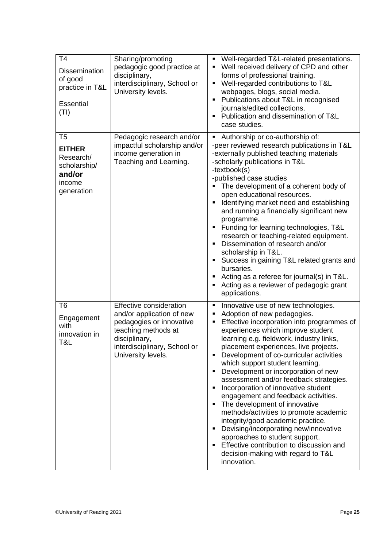| T <sub>4</sub><br><b>Dissemination</b><br>of good<br>practice in T&L<br><b>Essential</b><br>(TI) | Sharing/promoting<br>pedagogic good practice at<br>disciplinary,<br>interdisciplinary, School or<br>University levels.                                                         | Well-regarded T&L-related presentations.<br>٠<br>Well received delivery of CPD and other<br>forms of professional training.<br>Well-regarded contributions to T&L<br>webpages, blogs, social media.<br>Publications about T&L in recognised<br>journals/edited collections.<br>Publication and dissemination of T&L<br>case studies.                                                                                                                                                                                                                                                                                                                                                                                                                                                               |
|--------------------------------------------------------------------------------------------------|--------------------------------------------------------------------------------------------------------------------------------------------------------------------------------|----------------------------------------------------------------------------------------------------------------------------------------------------------------------------------------------------------------------------------------------------------------------------------------------------------------------------------------------------------------------------------------------------------------------------------------------------------------------------------------------------------------------------------------------------------------------------------------------------------------------------------------------------------------------------------------------------------------------------------------------------------------------------------------------------|
| T <sub>5</sub><br><b>EITHER</b><br>Research/<br>scholarship/<br>and/or<br>income<br>generation   | Pedagogic research and/or<br>impactful scholarship and/or<br>income generation in<br>Teaching and Learning.                                                                    | Authorship or co-authorship of:<br>٠<br>-peer reviewed research publications in T&L<br>-externally published teaching materials<br>-scholarly publications in T&L<br>-textbook(s)<br>-published case studies<br>The development of a coherent body of<br>open educational resources.<br>Identifying market need and establishing<br>and running a financially significant new<br>programme.<br>Funding for learning technologies, T&L<br>research or teaching-related equipment.<br>Dissemination of research and/or<br>scholarship in T&L.<br>Success in gaining T&L related grants and<br>bursaries.<br>Acting as a referee for journal(s) in T&L.<br>Acting as a reviewer of pedagogic grant<br>٠<br>applications.                                                                              |
| T <sub>6</sub><br>Engagement<br>with<br>innovation in<br>T&L                                     | Effective consideration<br>and/or application of new<br>pedagogies or innovative<br>teaching methods at<br>disciplinary,<br>interdisciplinary, School or<br>University levels. | Innovative use of new technologies.<br>٠<br>Adoption of new pedagogies.<br>٠<br>Effective incorporation into programmes of<br>experiences which improve student<br>learning e.g. fieldwork, industry links,<br>placement experiences, live projects.<br>Development of co-curricular activities<br>which support student learning.<br>Development or incorporation of new<br>assessment and/or feedback strategies.<br>Incorporation of innovative student<br>engagement and feedback activities.<br>The development of innovative<br>methods/activities to promote academic<br>integrity/good academic practice.<br>Devising/incorporating new/innovative<br>٠<br>approaches to student support.<br>Effective contribution to discussion and<br>decision-making with regard to T&L<br>innovation. |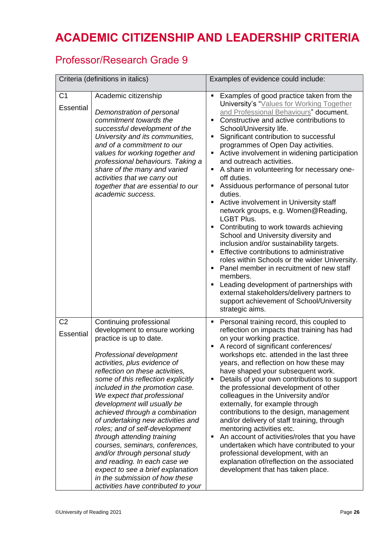### **ACADEMIC CITIZENSHIP AND LEADERSHIP CRITERIA**

### Professor/Research Grade 9

| Criteria (definitions in italics) |                                                                                                                                                                                                                                                                                                                                                                                                                                                                                                                                                                                                                                                                                    | Examples of evidence could include:                                                                                                                                                                                                                                                                                                                                                                                                                                                                                                                                                                                                                                                                                                                                                                                                                                                                                                                                                                                                                                                          |
|-----------------------------------|------------------------------------------------------------------------------------------------------------------------------------------------------------------------------------------------------------------------------------------------------------------------------------------------------------------------------------------------------------------------------------------------------------------------------------------------------------------------------------------------------------------------------------------------------------------------------------------------------------------------------------------------------------------------------------|----------------------------------------------------------------------------------------------------------------------------------------------------------------------------------------------------------------------------------------------------------------------------------------------------------------------------------------------------------------------------------------------------------------------------------------------------------------------------------------------------------------------------------------------------------------------------------------------------------------------------------------------------------------------------------------------------------------------------------------------------------------------------------------------------------------------------------------------------------------------------------------------------------------------------------------------------------------------------------------------------------------------------------------------------------------------------------------------|
| C <sub>1</sub><br>Essential       | Academic citizenship<br>Demonstration of personal<br>commitment towards the<br>successful development of the<br>University and its communities,<br>and of a commitment to our<br>values for working together and<br>professional behaviours. Taking a<br>share of the many and varied<br>activities that we carry out<br>together that are essential to our<br>academic success.                                                                                                                                                                                                                                                                                                   | Examples of good practice taken from the<br>University's "Values for Working Together<br>and Professional Behaviours" document.<br>Constructive and active contributions to<br>School/University life.<br>Significant contribution to successful<br>٠<br>programmes of Open Day activities.<br>Active involvement in widening participation<br>٠<br>and outreach activities.<br>A share in volunteering for necessary one-<br>٠<br>off duties.<br>Assiduous performance of personal tutor<br>٠<br>duties.<br>Active involvement in University staff<br>$\blacksquare$<br>network groups, e.g. Women@Reading,<br><b>LGBT Plus.</b><br>Contributing to work towards achieving<br>٠<br>School and University diversity and<br>inclusion and/or sustainability targets.<br>Effective contributions to administrative<br>roles within Schools or the wider University.<br>Panel member in recruitment of new staff<br>٠<br>members.<br>Leading development of partnerships with<br>٠<br>external stakeholders/delivery partners to<br>support achievement of School/University<br>strategic aims. |
| C <sub>2</sub><br>Essential       | Continuing professional<br>development to ensure working<br>practice is up to date.<br>Professional development<br>activities, plus evidence of<br>reflection on these activities,<br>some of this reflection explicitly<br>included in the promotion case.<br>We expect that professional<br>development will usually be<br>achieved through a combination<br>of undertaking new activities and<br>roles; and of self-development<br>through attending training<br>courses, seminars, conferences,<br>and/or through personal study<br>and reading. In each case we<br>expect to see a brief explanation<br>in the submission of how these<br>activities have contributed to your | Personal training record, this coupled to<br>٠<br>reflection on impacts that training has had<br>on your working practice.<br>A record of significant conferences/<br>٠<br>workshops etc. attended in the last three<br>years, and reflection on how these may<br>have shaped your subsequent work.<br>Details of your own contributions to support<br>٠<br>the professional development of other<br>colleagues in the University and/or<br>externally, for example through<br>contributions to the design, management<br>and/or delivery of staff training, through<br>mentoring activities etc.<br>An account of activities/roles that you have<br>undertaken which have contributed to your<br>professional development, with an<br>explanation of/reflection on the associated<br>development that has taken place.                                                                                                                                                                                                                                                                      |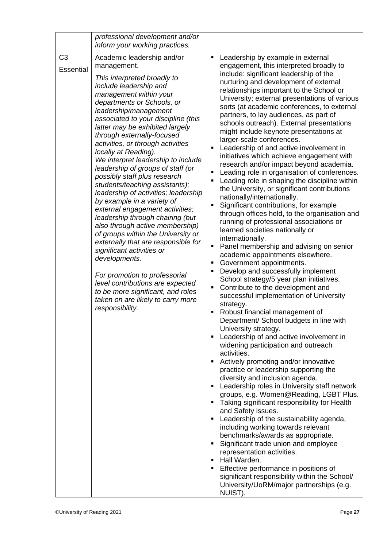|                                    | professional development and/or<br>inform your working practices.                                                                                                                                                                                                                                                                                                                                                                                                                                                                                                                                                                                                                                                                                                                                                                                                                                                                                                                  |                                                                                                                                                                                                                                                                                                                                                                                                                                                                                                                                                                                                                                                                                                                                                                                                                                                                                                                                                                                                                                                                                                                                                                                                                                                                                                                                                                                                                                                                                                                                                                                                                                                                                                                                                                                                                                                                                                                                                                                                                                                                                                                                                                                                                                       |
|------------------------------------|------------------------------------------------------------------------------------------------------------------------------------------------------------------------------------------------------------------------------------------------------------------------------------------------------------------------------------------------------------------------------------------------------------------------------------------------------------------------------------------------------------------------------------------------------------------------------------------------------------------------------------------------------------------------------------------------------------------------------------------------------------------------------------------------------------------------------------------------------------------------------------------------------------------------------------------------------------------------------------|---------------------------------------------------------------------------------------------------------------------------------------------------------------------------------------------------------------------------------------------------------------------------------------------------------------------------------------------------------------------------------------------------------------------------------------------------------------------------------------------------------------------------------------------------------------------------------------------------------------------------------------------------------------------------------------------------------------------------------------------------------------------------------------------------------------------------------------------------------------------------------------------------------------------------------------------------------------------------------------------------------------------------------------------------------------------------------------------------------------------------------------------------------------------------------------------------------------------------------------------------------------------------------------------------------------------------------------------------------------------------------------------------------------------------------------------------------------------------------------------------------------------------------------------------------------------------------------------------------------------------------------------------------------------------------------------------------------------------------------------------------------------------------------------------------------------------------------------------------------------------------------------------------------------------------------------------------------------------------------------------------------------------------------------------------------------------------------------------------------------------------------------------------------------------------------------------------------------------------------|
| C <sub>3</sub><br><b>Essential</b> | Academic leadership and/or<br>management.<br>This interpreted broadly to<br>include leadership and<br>management within your<br>departments or Schools, or<br>leadership/management<br>associated to your discipline (this<br>latter may be exhibited largely<br>through externally-focused<br>activities, or through activities<br>locally at Reading).<br>We interpret leadership to include<br>leadership of groups of staff (or<br>possibly staff plus research<br>students/teaching assistants);<br>leadership of activities; leadership<br>by example in a variety of<br>external engagement activities;<br>leadership through chairing (but<br>also through active membership)<br>of groups within the University or<br>externally that are responsible for<br>significant activities or<br>developments.<br>For promotion to professorial<br>level contributions are expected<br>to be more significant, and roles<br>taken on are likely to carry more<br>responsibility. | Leadership by example in external<br>٠<br>engagement, this interpreted broadly to<br>include: significant leadership of the<br>nurturing and development of external<br>relationships important to the School or<br>University; external presentations of various<br>sorts (at academic conferences, to external<br>partners, to lay audiences, as part of<br>schools outreach). External presentations<br>might include keynote presentations at<br>larger-scale conferences.<br>Leadership of and active involvement in<br>٠<br>initiatives which achieve engagement with<br>research and/or impact beyond academia.<br>Leading role in organisation of conferences.<br>٠<br>Leading role in shaping the discipline within<br>٠<br>the University, or significant contributions<br>nationally/internationally.<br>Significant contributions, for example<br>٠<br>through offices held, to the organisation and<br>running of professional associations or<br>learned societies nationally or<br>internationally.<br>Panel membership and advising on senior<br>٠<br>academic appointments elsewhere.<br>Government appointments.<br>٠<br>Develop and successfully implement<br>٠<br>School strategy/5 year plan initiatives.<br>Contribute to the development and<br>٠<br>successful implementation of University<br>strategy.<br>Robust financial management of<br>٠<br>Department/ School budgets in line with<br>University strategy.<br>Leadership of and active involvement in<br>٠<br>widening participation and outreach<br>activities.<br>Actively promoting and/or innovative<br>٠<br>practice or leadership supporting the<br>diversity and inclusion agenda.<br>Leadership roles in University staff network<br>٠<br>groups, e.g. Women@Reading, LGBT Plus.<br>Taking significant responsibility for Health<br>٠<br>and Safety issues.<br>Leadership of the sustainability agenda,<br>٠<br>including working towards relevant<br>benchmarks/awards as appropriate.<br>Significant trade union and employee<br>٠<br>representation activities.<br>Hall Warden.<br>٠<br>Effective performance in positions of<br>٠<br>significant responsibility within the School/<br>University/UoRM/major partnerships (e.g.<br>NUIST). |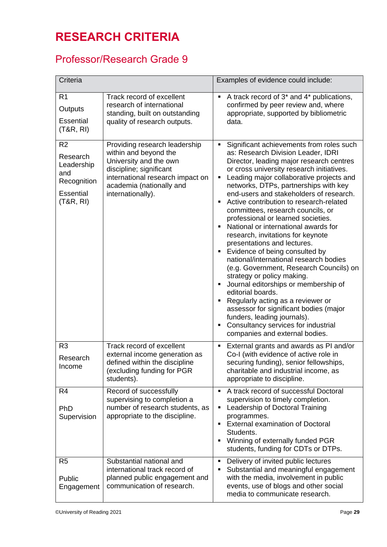### **RESEARCH CRITERIA**

### Professor/Research Grade 9

| Criteria                                                                                       |                                                                                                                                                                                                  | Examples of evidence could include:                                                                                                                                                                                                                                                                                                                                                                                                                                                                                                                                                                                                                                                                                                                                                                                                                                                                                                                |
|------------------------------------------------------------------------------------------------|--------------------------------------------------------------------------------------------------------------------------------------------------------------------------------------------------|----------------------------------------------------------------------------------------------------------------------------------------------------------------------------------------------------------------------------------------------------------------------------------------------------------------------------------------------------------------------------------------------------------------------------------------------------------------------------------------------------------------------------------------------------------------------------------------------------------------------------------------------------------------------------------------------------------------------------------------------------------------------------------------------------------------------------------------------------------------------------------------------------------------------------------------------------|
| R <sub>1</sub><br>Outputs<br>Essential<br>(T&R, R)                                             | Track record of excellent<br>research of international<br>standing, built on outstanding<br>quality of research outputs.                                                                         | A track record of 3 <sup>*</sup> and 4 <sup>*</sup> publications,<br>confirmed by peer review and, where<br>appropriate, supported by bibliometric<br>data.                                                                                                                                                                                                                                                                                                                                                                                                                                                                                                                                                                                                                                                                                                                                                                                        |
| R <sub>2</sub><br>Research<br>Leadership<br>and<br>Recognition<br><b>Essential</b><br>(T&R, R) | Providing research leadership<br>within and beyond the<br>University and the own<br>discipline; significant<br>international research impact on<br>academia (nationally and<br>internationally). | Significant achievements from roles such<br>as: Research Division Leader, IDRI<br>Director, leading major research centres<br>or cross university research initiatives.<br>Leading major collaborative projects and<br>networks, DTPs, partnerships with key<br>end-users and stakeholders of research.<br>Active contribution to research-related<br>committees, research councils, or<br>professional or learned societies.<br>National or international awards for<br>research, invitations for keynote<br>presentations and lectures.<br>Evidence of being consulted by<br>national/international research bodies<br>(e.g. Government, Research Councils) on<br>strategy or policy making.<br>Journal editorships or membership of<br>editorial boards.<br>Regularly acting as a reviewer or<br>assessor for significant bodies (major<br>funders, leading journals).<br>Consultancy services for industrial<br>companies and external bodies. |
| R <sub>3</sub><br>Research<br>Income                                                           | Track record of excellent<br>external income generation as<br>defined within the discipline<br>(excluding funding for PGR<br>students).                                                          | External grants and awards as PI and/or<br>Co-I (with evidence of active role in<br>securing funding), senior fellowships<br>charitable and industrial income, as<br>appropriate to discipline.                                                                                                                                                                                                                                                                                                                                                                                                                                                                                                                                                                                                                                                                                                                                                    |
| R <sub>4</sub><br>PhD<br>Supervision                                                           | Record of successfully<br>supervising to completion a<br>number of research students, as<br>appropriate to the discipline.                                                                       | A track record of successful Doctoral<br>٠<br>supervision to timely completion.<br>Leadership of Doctoral Training<br>programmes.<br><b>External examination of Doctoral</b><br>Students.<br>Winning of externally funded PGR<br>students, funding for CDTs or DTPs.                                                                                                                                                                                                                                                                                                                                                                                                                                                                                                                                                                                                                                                                               |
| R <sub>5</sub><br>Public<br>Engagement                                                         | Substantial national and<br>international track record of<br>planned public engagement and<br>communication of research.                                                                         | Delivery of invited public lectures<br>٠<br>Substantial and meaningful engagement<br>with the media, involvement in public<br>events, use of blogs and other social<br>media to communicate research.                                                                                                                                                                                                                                                                                                                                                                                                                                                                                                                                                                                                                                                                                                                                              |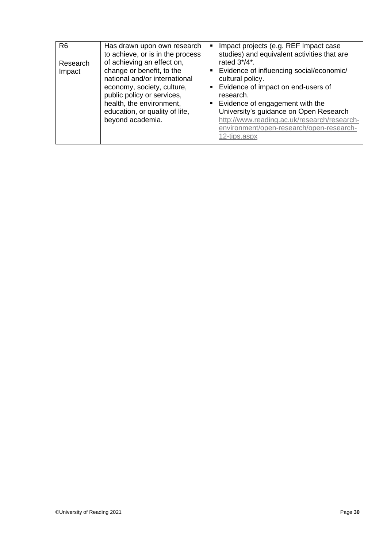| R <sub>6</sub><br>Research<br>Impact | Has drawn upon own research<br>to achieve, or is in the process<br>of achieving an effect on,<br>change or benefit, to the<br>national and/or international<br>economy, society, culture,<br>public policy or services,<br>health, the environment,<br>education, or quality of life,<br>beyond academia. | Impact projects (e.g. REF Impact case<br>studies) and equivalent activities that are<br>rated 3*/4*.<br>■ Evidence of influencing social/economic/<br>cultural policy.<br>• Evidence of impact on end-users of<br>research.<br>• Evidence of engagement with the<br>University's guidance on Open Research<br>http://www.reading.ac.uk/research/research-<br>environment/open-research/open-research- |
|--------------------------------------|-----------------------------------------------------------------------------------------------------------------------------------------------------------------------------------------------------------------------------------------------------------------------------------------------------------|-------------------------------------------------------------------------------------------------------------------------------------------------------------------------------------------------------------------------------------------------------------------------------------------------------------------------------------------------------------------------------------------------------|
|                                      |                                                                                                                                                                                                                                                                                                           | 12-tips.aspx                                                                                                                                                                                                                                                                                                                                                                                          |
|                                      |                                                                                                                                                                                                                                                                                                           |                                                                                                                                                                                                                                                                                                                                                                                                       |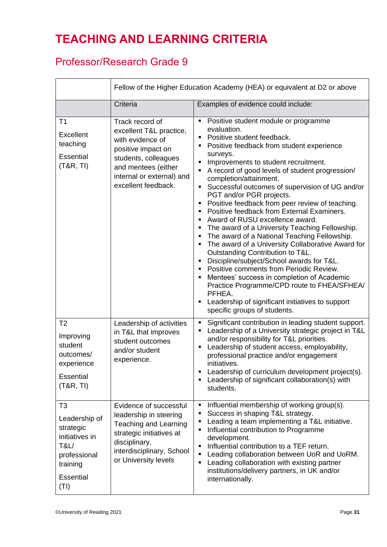### **TEACHING AND LEARNING CRITERIA**

### Professor/Research Grade 9

|                                                                                                                                           | Fellow of the Higher Education Academy (HEA) or equivalent at D2 or above                                                                                                               |                                                                                                                                                                                                                                                                                                                                                                                                                                                                                                                                                                                                                                                                                                                                                                                                                                                                                                                                                                                                                                              |
|-------------------------------------------------------------------------------------------------------------------------------------------|-----------------------------------------------------------------------------------------------------------------------------------------------------------------------------------------|----------------------------------------------------------------------------------------------------------------------------------------------------------------------------------------------------------------------------------------------------------------------------------------------------------------------------------------------------------------------------------------------------------------------------------------------------------------------------------------------------------------------------------------------------------------------------------------------------------------------------------------------------------------------------------------------------------------------------------------------------------------------------------------------------------------------------------------------------------------------------------------------------------------------------------------------------------------------------------------------------------------------------------------------|
|                                                                                                                                           | Criteria                                                                                                                                                                                | Examples of evidence could include:                                                                                                                                                                                                                                                                                                                                                                                                                                                                                                                                                                                                                                                                                                                                                                                                                                                                                                                                                                                                          |
| T1<br>Excellent<br>teaching<br><b>Essential</b><br>(T&R, TI)                                                                              | Track record of<br>excellent T&L practice,<br>with evidence of<br>positive impact on<br>students, colleagues<br>and mentees (either<br>internal or external) and<br>excellent feedback. | Positive student module or programme<br>٠<br>evaluation.<br>Positive student feedback.<br>$\blacksquare$<br>Positive feedback from student experience<br>п<br>surveys.<br>Improvements to student recruitment.<br>A record of good levels of student progression/<br>٠<br>completion/attainment.<br>Successful outcomes of supervision of UG and/or<br>٠<br>PGT and/or PGR projects.<br>Positive feedback from peer review of teaching.<br>٠<br>Positive feedback from External Examiners.<br>Award of RUSU excellence award.<br>The award of a University Teaching Fellowship.<br>$\blacksquare$<br>The award of a National Teaching Fellowship.<br>٠<br>The award of a University Collaborative Award for<br>٠<br>Outstanding Contribution to T&L.<br>Discipline/subject/School awards for T&L.<br>Positive comments from Periodic Review.<br>Mentees' success in completion of Academic<br>Practice Programme/CPD route to FHEA/SFHEA/<br>PFHEA.<br>Leadership of significant initiatives to support<br>٠<br>specific groups of students. |
| T <sub>2</sub><br>Improving<br>student<br>outcomes/<br>experience<br><b>Essential</b><br>(T&R, TI)                                        | Leadership of activities<br>in T&L that improves<br>student outcomes<br>and/or student<br>experience.                                                                                   | Significant contribution in leading student support.<br>٠<br>Leadership of a University strategic project in T&L<br>and/or responsibility for T&L priorities.<br>Leadership of student access, employability,<br>professional practice and/or engagement<br>initiatives.<br>Leadership of curriculum development project(s).<br>Leadership of significant collaboration(s) with<br>students.                                                                                                                                                                                                                                                                                                                                                                                                                                                                                                                                                                                                                                                 |
| T <sub>3</sub><br>Leadership of<br>strategic<br>initiatives in<br><b>T&amp;L/</b><br>professional<br>training<br><b>Essential</b><br>(TI) | Evidence of successful<br>leadership in steering<br><b>Teaching and Learning</b><br>strategic initiatives at<br>disciplinary,<br>interdisciplinary, School<br>or University levels      | Influential membership of working group(s).<br>٠<br>Success in shaping T&L strategy.<br>Е<br>Leading a team implementing a T&L initiative.<br>Е<br>Influential contribution to Programme<br>П<br>development.<br>Influential contribution to a TEF return.<br>٠<br>Leading collaboration between UoR and UoRM.<br>٠<br>Leading collaboration with existing partner<br>٠<br>institutions/delivery partners, in UK and/or<br>internationally.                                                                                                                                                                                                                                                                                                                                                                                                                                                                                                                                                                                                  |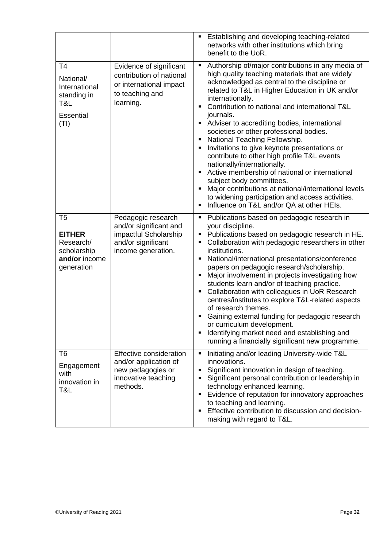|                                                                                                |                                                                                                                   | Establishing and developing teaching-related<br>$\blacksquare$<br>networks with other institutions which bring<br>benefit to the UoR.                                                                                                                                                                                                                                                                                                                                                                                                                                                                                                                                                                                                                                                                                                       |
|------------------------------------------------------------------------------------------------|-------------------------------------------------------------------------------------------------------------------|---------------------------------------------------------------------------------------------------------------------------------------------------------------------------------------------------------------------------------------------------------------------------------------------------------------------------------------------------------------------------------------------------------------------------------------------------------------------------------------------------------------------------------------------------------------------------------------------------------------------------------------------------------------------------------------------------------------------------------------------------------------------------------------------------------------------------------------------|
| T <sub>4</sub><br>National/<br>International<br>standing in<br>T&L<br><b>Essential</b><br>(TI) | Evidence of significant<br>contribution of national<br>or international impact<br>to teaching and<br>learning.    | Authorship of/major contributions in any media of<br>٠<br>high quality teaching materials that are widely<br>acknowledged as central to the discipline or<br>related to T&L in Higher Education in UK and/or<br>internationally.<br>Contribution to national and international T&L<br>$\blacksquare$<br>journals.<br>Adviser to accrediting bodies, international<br>٠<br>societies or other professional bodies.<br>National Teaching Fellowship.<br>Invitations to give keynote presentations or<br>٠<br>contribute to other high profile T&L events<br>nationally/internationally.<br>Active membership of national or international<br>п<br>subject body committees.<br>Major contributions at national/international levels<br>٠<br>to widening participation and access activities.<br>Influence on T&L and/or QA at other HEIs.<br>٠ |
| T <sub>5</sub><br><b>EITHER</b><br>Research/<br>scholarship<br>and/or income<br>generation     | Pedagogic research<br>and/or significant and<br>impactful Scholarship<br>and/or significant<br>income generation. | Publications based on pedagogic research in<br>٠<br>your discipline.<br>Publications based on pedagogic research in HE.<br>٠<br>Collaboration with pedagogic researchers in other<br>п<br>institutions.<br>National/international presentations/conference<br>٠<br>papers on pedagogic research/scholarship.<br>Major involvement in projects investigating how<br>٠<br>students learn and/or of teaching practice.<br>Collaboration with colleagues in UoR Research<br>٠<br>centres/institutes to explore T&L-related aspects<br>of research themes.<br>Gaining external funding for pedagogic research<br>٠<br>or curriculum development.<br>Identifying market need and establishing and<br>$\blacksquare$<br>running a financially significant new programme.                                                                           |
| T <sub>6</sub><br>Engagement<br>with<br>innovation in<br>T&L                                   | Effective consideration<br>and/or application of<br>new pedagogies or<br>innovative teaching<br>methods.          | Initiating and/or leading University-wide T&L<br>Ξ<br>innovations.<br>Significant innovation in design of teaching.<br>٠<br>Significant personal contribution or leadership in<br>٠<br>technology enhanced learning.<br>Evidence of reputation for innovatory approaches<br>٠<br>to teaching and learning.<br>Effective contribution to discussion and decision-<br>٠<br>making with regard to T&L.                                                                                                                                                                                                                                                                                                                                                                                                                                         |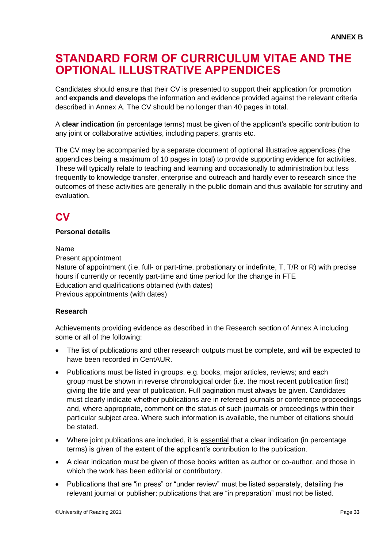### **STANDARD FORM OF CURRICULUM VITAE AND THE OPTIONAL ILLUSTRATIVE APPENDICES**

Candidates should ensure that their CV is presented to support their application for promotion and **expands and develops** the information and evidence provided against the relevant criteria described in Annex A. The CV should be no longer than 40 pages in total.

A **clear indication** (in percentage terms) must be given of the applicant's specific contribution to any joint or collaborative activities, including papers, grants etc.

The CV may be accompanied by a separate document of optional illustrative appendices (the appendices being a maximum of 10 pages in total) to provide supporting evidence for activities. These will typically relate to teaching and learning and occasionally to administration but less frequently to knowledge transfer, enterprise and outreach and hardly ever to research since the outcomes of these activities are generally in the public domain and thus available for scrutiny and evaluation.

### **CV**

### **Personal details**

Name

Present appointment

Nature of appointment (i.e. full- or part-time, probationary or indefinite, T, T/R or R) with precise hours if currently or recently part-time and time period for the change in FTE Education and qualifications obtained (with dates) Previous appointments (with dates)

### **Research**

Achievements providing evidence as described in the Research section of Annex A including some or all of the following:

- The list of publications and other research outputs must be complete, and will be expected to have been recorded in CentAUR.
- Publications must be listed in groups, e.g. books, major articles, reviews; and each group must be shown in reverse chronological order (i.e. the most recent publication first) giving the title and year of publication. Full pagination must always be given. Candidates must clearly indicate whether publications are in refereed journals or conference proceedings and, where appropriate, comment on the status of such journals or proceedings within their particular subject area. Where such information is available, the number of citations should be stated.
- Where joint publications are included, it is essential that a clear indication (in percentage terms) is given of the extent of the applicant's contribution to the publication.
- A clear indication must be given of those books written as author or co-author, and those in which the work has been editorial or contributory.
- Publications that are "in press" or "under review" must be listed separately, detailing the relevant journal or publisher; publications that are "in preparation" must not be listed.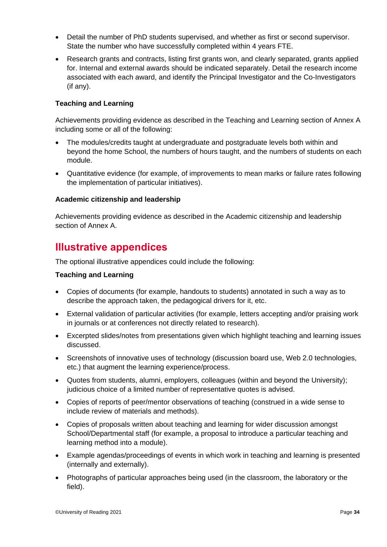- Detail the number of PhD students supervised, and whether as first or second supervisor. State the number who have successfully completed within 4 years FTE.
- Research grants and contracts, listing first grants won, and clearly separated, grants applied for. Internal and external awards should be indicated separately. Detail the research income associated with each award, and identify the Principal Investigator and the Co-Investigators (if any).

### **Teaching and Learning**

Achievements providing evidence as described in the Teaching and Learning section of Annex A including some or all of the following:

- The modules/credits taught at undergraduate and postgraduate levels both within and beyond the home School, the numbers of hours taught, and the numbers of students on each module.
- Quantitative evidence (for example, of improvements to mean marks or failure rates following the implementation of particular initiatives).

### **Academic citizenship and leadership**

Achievements providing evidence as described in the Academic citizenship and leadership section of Annex A.

### **Illustrative appendices**

The optional illustrative appendices could include the following:

### **Teaching and Learning**

- Copies of documents (for example, handouts to students) annotated in such a way as to describe the approach taken, the pedagogical drivers for it, etc.
- External validation of particular activities (for example, letters accepting and/or praising work in journals or at conferences not directly related to research).
- Excerpted slides/notes from presentations given which highlight teaching and learning issues discussed.
- Screenshots of innovative uses of technology (discussion board use, Web 2.0 technologies, etc.) that augment the learning experience/process.
- Quotes from students, alumni, employers, colleagues (within and beyond the University); judicious choice of a limited number of representative quotes is advised.
- Copies of reports of peer/mentor observations of teaching (construed in a wide sense to include review of materials and methods).
- Copies of proposals written about teaching and learning for wider discussion amongst School/Departmental staff (for example, a proposal to introduce a particular teaching and learning method into a module).
- Example agendas/proceedings of events in which work in teaching and learning is presented (internally and externally).
- Photographs of particular approaches being used (in the classroom, the laboratory or the field).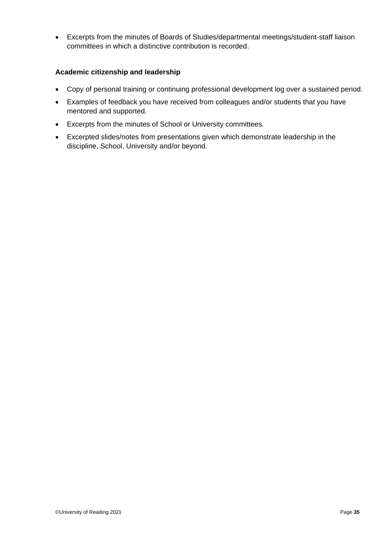Excerpts from the minutes of Boards of Studies/departmental meetings/student-staff liaison committees in which a distinctive contribution is recorded.

### **Academic citizenship and leadership**

- Copy of personal training or continuing professional development log over a sustained period.
- Examples of feedback you have received from colleagues and/or students that you have mentored and supported.
- Excerpts from the minutes of School or University committees.
- Excerpted slides/notes from presentations given which demonstrate leadership in the discipline, School, University and/or beyond.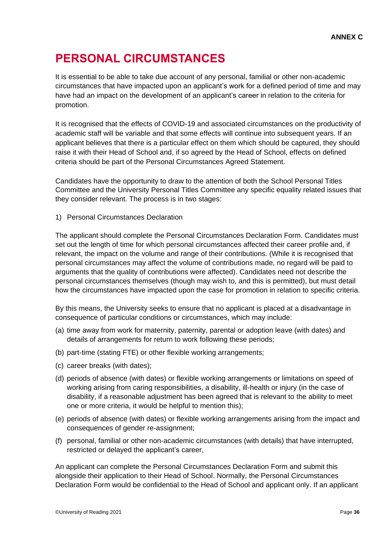### **PERSONAL CIRCUMSTANCES**

It is essential to be able to take due account of any personal, familial or other non-academic circumstances that have impacted upon an applicant's work for a defined period of time and may have had an impact on the development of an applicant's career in relation to the criteria for promotion.

It is recognised that the effects of COVID-19 and associated circumstances on the productivity of academic staff will be variable and that some effects will continue into subsequent years. If an applicant believes that there is a particular effect on them which should be captured, they should raise it with their Head of School and, if so agreed by the Head of School, effects on defined criteria should be part of the Personal Circumstances Agreed Statement.

Candidates have the opportunity to draw to the attention of both the School Personal Titles Committee and the University Personal Titles Committee any specific equality related issues that they consider relevant. The process is in two stages:

1) Personal Circumstances Declaration

The applicant should complete the Personal Circumstances Declaration Form. Candidates must set out the length of time for which personal circumstances affected their career profile and, if relevant, the impact on the volume and range of their contributions. (While it is recognised that personal circumstances may affect the volume of contributions made, no regard will be paid to arguments that the quality of contributions were affected). Candidates need not describe the personal circumstances themselves (though may wish to, and this is permitted), but must detail how the circumstances have impacted upon the case for promotion in relation to specific criteria.

By this means, the University seeks to ensure that no applicant is placed at a disadvantage in consequence of particular conditions or circumstances, which may include:

- (a) time away from work for maternity, paternity, parental or adoption leave (with dates) and details of arrangements for return to work following these periods;
- (b) part-time (stating FTE) or other flexible working arrangements;
- (c) career breaks (with dates);
- (d) periods of absence (with dates) or flexible working arrangements or limitations on speed of working arising from caring responsibilities, a disability, ill-health or injury (in the case of disability, if a reasonable adjustment has been agreed that is relevant to the ability to meet one or more criteria, it would be helpful to mention this);
- (e) periods of absence (with dates) or flexible working arrangements arising from the impact and consequences of gender re-assignment;
- (f) personal, familial or other non-academic circumstances (with details) that have interrupted, restricted or delayed the applicant's career,

An applicant can complete the Personal Circumstances Declaration Form and submit this alongside their application to their Head of School. Normally, the Personal Circumstances Declaration Form would be confidential to the Head of School and applicant only. If an applicant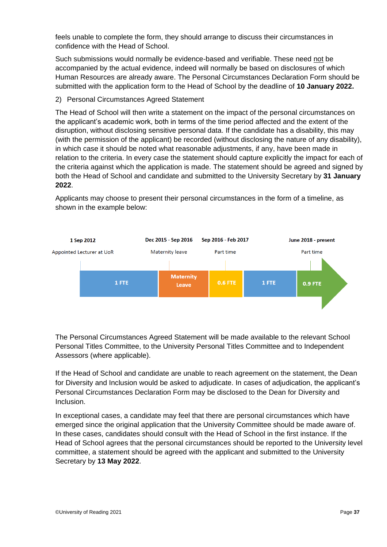feels unable to complete the form, they should arrange to discuss their circumstances in confidence with the Head of School.

Such submissions would normally be evidence-based and verifiable. These need not be accompanied by the actual evidence, indeed will normally be based on disclosures of which Human Resources are already aware. The Personal Circumstances Declaration Form should be submitted with the application form to the Head of School by the deadline of **10 January 2022.**

### 2) Personal Circumstances Agreed Statement

The Head of School will then write a statement on the impact of the personal circumstances on the applicant's academic work, both in terms of the time period affected and the extent of the disruption, without disclosing sensitive personal data. If the candidate has a disability, this may (with the permission of the applicant) be recorded (without disclosing the nature of any disability), in which case it should be noted what reasonable adjustments, if any, have been made in relation to the criteria. In every case the statement should capture explicitly the impact for each of the criteria against which the application is made. The statement should be agreed and signed by both the Head of School and candidate and submitted to the University Secretary by **31 January 2022**.



Applicants may choose to present their personal circumstances in the form of a timeline, as shown in the example below:

The Personal Circumstances Agreed Statement will be made available to the relevant School Personal Titles Committee, to the University Personal Titles Committee and to Independent Assessors (where applicable).

If the Head of School and candidate are unable to reach agreement on the statement, the Dean for Diversity and Inclusion would be asked to adjudicate. In cases of adjudication, the applicant's Personal Circumstances Declaration Form may be disclosed to the Dean for Diversity and Inclusion.

In exceptional cases, a candidate may feel that there are personal circumstances which have emerged since the original application that the University Committee should be made aware of. In these cases, candidates should consult with the Head of School in the first instance. If the Head of School agrees that the personal circumstances should be reported to the University level committee, a statement should be agreed with the applicant and submitted to the University Secretary by **13 May 2022**.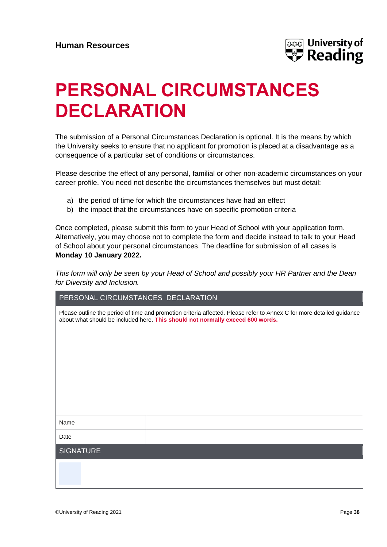

## **PERSONAL CIRCUMSTANCES DECLARATION**

The submission of a Personal Circumstances Declaration is optional. It is the means by which the University seeks to ensure that no applicant for promotion is placed at a disadvantage as a consequence of a particular set of conditions or circumstances.

Please describe the effect of any personal, familial or other non-academic circumstances on your career profile. You need not describe the circumstances themselves but must detail:

- a) the period of time for which the circumstances have had an effect
- b) the impact that the circumstances have on specific promotion criteria

Once completed, please submit this form to your Head of School with your application form. Alternatively, you may choose not to complete the form and decide instead to talk to your Head of School about your personal circumstances. The deadline for submission of all cases is **Monday 10 January 2022.**

*This form will only be seen by your Head of School and possibly your HR Partner and the Dean for Diversity and Inclusion.*

| PERSONAL CIRCUMSTANCES DECLARATION                                                                                                                                                                      |  |  |  |
|---------------------------------------------------------------------------------------------------------------------------------------------------------------------------------------------------------|--|--|--|
| Please outline the period of time and promotion criteria affected. Please refer to Annex C for more detailed guidance<br>about what should be included here. This should not normally exceed 600 words. |  |  |  |
|                                                                                                                                                                                                         |  |  |  |
|                                                                                                                                                                                                         |  |  |  |
|                                                                                                                                                                                                         |  |  |  |
|                                                                                                                                                                                                         |  |  |  |
|                                                                                                                                                                                                         |  |  |  |
|                                                                                                                                                                                                         |  |  |  |
| Name                                                                                                                                                                                                    |  |  |  |
| Date                                                                                                                                                                                                    |  |  |  |
| <b>SIGNATURE</b>                                                                                                                                                                                        |  |  |  |
|                                                                                                                                                                                                         |  |  |  |
|                                                                                                                                                                                                         |  |  |  |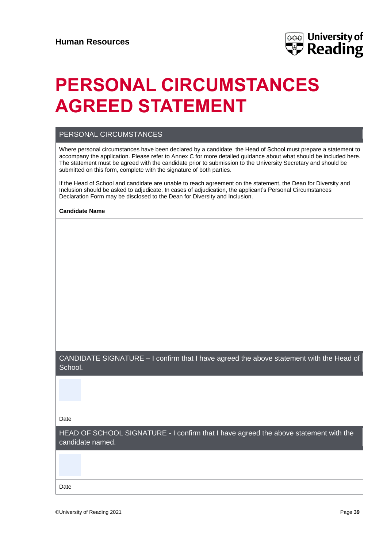

## **PERSONAL CIRCUMSTANCES AGREED STATEMENT**

### PERSONAL CIRCUMSTANCES

Where personal circumstances have been declared by a candidate, the Head of School must prepare a statement to accompany the application. Please refer to Annex C for more detailed guidance about what should be included here. The statement must be agreed with the candidate prior to submission to the University Secretary and should be submitted on this form, complete with the signature of both parties.

If the Head of School and candidate are unable to reach agreement on the statement, the Dean for Diversity and Inclusion should be asked to adjudicate. In cases of adjudication, the applicant's Personal Circumstances Declaration Form may be disclosed to the Dean for Diversity and Inclusion.

| <b>Candidate Name</b> |  |
|-----------------------|--|
|-----------------------|--|

CANDIDATE SIGNATURE – I confirm that I have agreed the above statement with the Head of **School** 

Date

HEAD OF SCHOOL SIGNATURE - I confirm that I have agreed the above statement with the candidate named.

| Date |  |
|------|--|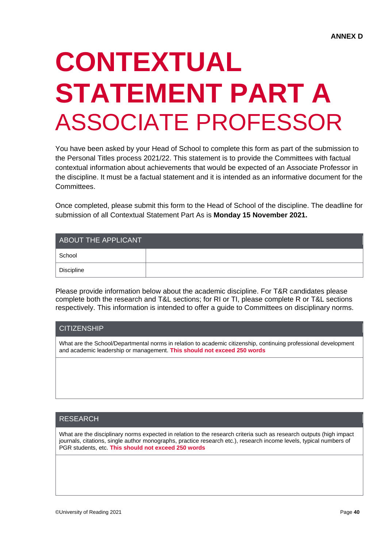# **CONTEXTUAL STATEMENT PART A** ASSOCIATE PROFESSOR

You have been asked by your Head of School to complete this form as part of the submission to the Personal Titles process 2021/22. This statement is to provide the Committees with factual contextual information about achievements that would be expected of an Associate Professor in the discipline. It must be a factual statement and it is intended as an informative document for the **Committees** 

Once completed, please submit this form to the Head of School of the discipline. The deadline for submission of all Contextual Statement Part As is **Monday 15 November 2021.**

| ABOUT THE APPLICANT     |  |  |
|-------------------------|--|--|
| School                  |  |  |
| <sup>I</sup> Discipline |  |  |

Please provide information below about the academic discipline. For T&R candidates please complete both the research and T&L sections; for RI or TI, please complete R or T&L sections respectively. This information is intended to offer a guide to Committees on disciplinary norms.

### **CITIZENSHIP**

What are the School/Departmental norms in relation to academic citizenship, continuing professional development and academic leadership or management. **This should not exceed 250 words**

### RESEARCH

What are the disciplinary norms expected in relation to the research criteria such as research outputs (high impact journals, citations, single author monographs, practice research etc.), research income levels, typical numbers of PGR students, etc. **This should not exceed 250 words**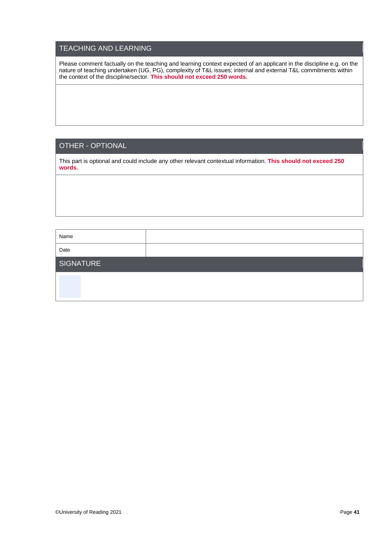### TEACHING AND LEARNING

Please comment factually on the teaching and learning context expected of an applicant in the discipline e.g. on the nature of teaching undertaken (UG, PG), complexity of T&L issues; internal and external T&L commitments within the context of the discipline/sector. **This should not exceed 250 words.**

### OTHER - OPTIONAL

This part is optional and could include any other relevant contextual information. **This should not exceed 250 words.**

| Name      |  |
|-----------|--|
| Date      |  |
| SIGNATURE |  |
|           |  |
|           |  |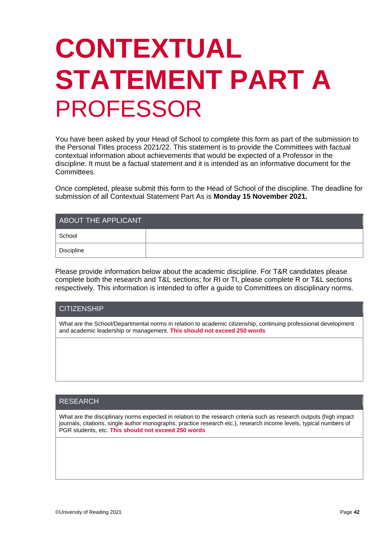# **CONTEXTUAL STATEMENT PART A**  PROFESSOR

You have been asked by your Head of School to complete this form as part of the submission to the Personal Titles process 2021/22. This statement is to provide the Committees with factual contextual information about achievements that would be expected of a Professor in the discipline. It must be a factual statement and it is intended as an informative document for the Committees.

Once completed, please submit this form to the Head of School of the discipline. The deadline for submission of all Contextual Statement Part As is **Monday 15 November 2021.**

| ABOUT THE APPLICANT |  |  |
|---------------------|--|--|
| School              |  |  |
| Discipline          |  |  |

Please provide information below about the academic discipline. For T&R candidates please complete both the research and T&L sections; for RI or TI, please complete R or T&L sections respectively. This information is intended to offer a guide to Committees on disciplinary norms.

| <b>CITIZENSHIP</b>                                                                                                                                                                         |
|--------------------------------------------------------------------------------------------------------------------------------------------------------------------------------------------|
| What are the School/Departmental norms in relation to academic citizenship, continuing professional development<br>and academic leadership or management. This should not exceed 250 words |
|                                                                                                                                                                                            |

### RESEARCH

What are the disciplinary norms expected in relation to the research criteria such as research outputs (high impact journals, citations, single author monographs, practice research etc.), research income levels, typical numbers of PGR students, etc. **This should not exceed 250 words**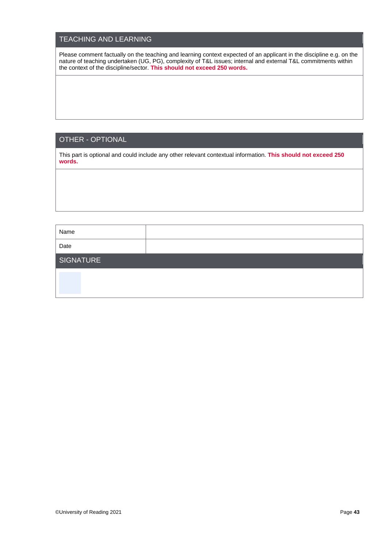### TEACHING AND LEARNING

Please comment factually on the teaching and learning context expected of an applicant in the discipline e.g. on the nature of teaching undertaken (UG, PG), complexity of T&L issues; internal and external T&L commitments within the context of the discipline/sector. **This should not exceed 250 words.**

### OTHER - OPTIONAL

This part is optional and could include any other relevant contextual information. **This should not exceed 250 words.**

| Name      |  |
|-----------|--|
| Date      |  |
| SIGNATURE |  |
|           |  |
|           |  |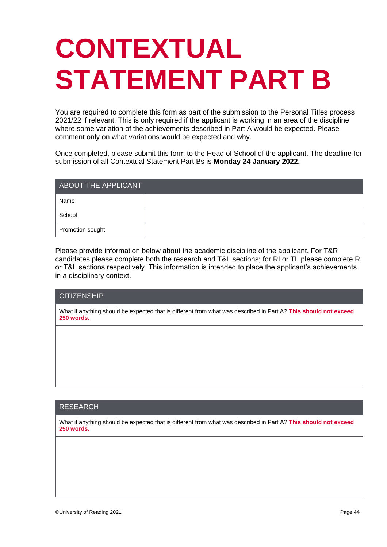# **CONTEXTUAL STATEMENT PART B**

You are required to complete this form as part of the submission to the Personal Titles process 2021/22 if relevant. This is only required if the applicant is working in an area of the discipline where some variation of the achievements described in Part A would be expected. Please comment only on what variations would be expected and why.

Once completed, please submit this form to the Head of School of the applicant. The deadline for submission of all Contextual Statement Part Bs is **Monday 24 January 2022.**

| ABOUT THE APPLICANT |  |  |
|---------------------|--|--|
| Name                |  |  |
| School              |  |  |
| Promotion sought    |  |  |

Please provide information below about the academic discipline of the applicant. For T&R candidates please complete both the research and T&L sections; for RI or TI, please complete R or T&L sections respectively. This information is intended to place the applicant's achievements in a disciplinary context.

### **CITIZENSHIP**

What if anything should be expected that is different from what was described in Part A? **This should not exceed 250 words.**

### RESEARCH

What if anything should be expected that is different from what was described in Part A? **This should not exceed 250 words.**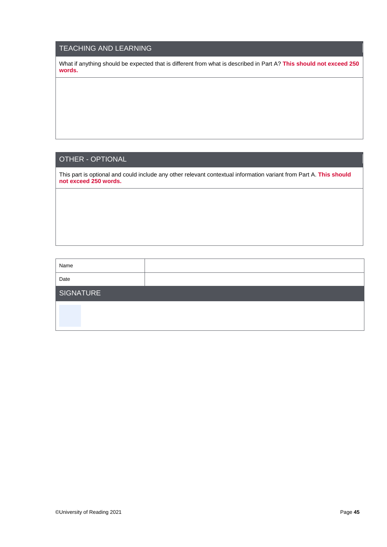### TEACHING AND LEARNING

What if anything should be expected that is different from what is described in Part A? **This should not exceed 250 words.**

### OTHER - OPTIONAL

This part is optional and could include any other relevant contextual information variant from Part A. **This should not exceed 250 words.**

| Name             |  |
|------------------|--|
| Date             |  |
| <b>SIGNATURE</b> |  |
|                  |  |
|                  |  |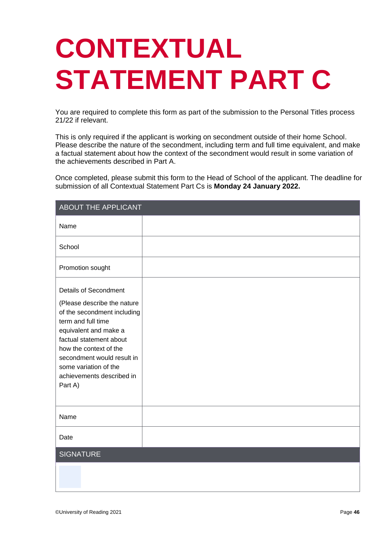# **CONTEXTUAL STATEMENT PART C**

You are required to complete this form as part of the submission to the Personal Titles process 21/22 if relevant.

This is only required if the applicant is working on secondment outside of their home School. Please describe the nature of the secondment, including term and full time equivalent, and make a factual statement about how the context of the secondment would result in some variation of the achievements described in Part A.

Once completed, please submit this form to the Head of School of the applicant. The deadline for submission of all Contextual Statement Part Cs is **Monday 24 January 2022.**

| ABOUT THE APPLICANT                                                                                                                                                                                                                                                                           |  |
|-----------------------------------------------------------------------------------------------------------------------------------------------------------------------------------------------------------------------------------------------------------------------------------------------|--|
| Name                                                                                                                                                                                                                                                                                          |  |
| School                                                                                                                                                                                                                                                                                        |  |
| Promotion sought                                                                                                                                                                                                                                                                              |  |
| <b>Details of Secondment</b><br>(Please describe the nature<br>of the secondment including<br>term and full time<br>equivalent and make a<br>factual statement about<br>how the context of the<br>secondment would result in<br>some variation of the<br>achievements described in<br>Part A) |  |
| Name                                                                                                                                                                                                                                                                                          |  |
| Date                                                                                                                                                                                                                                                                                          |  |
| <b>SIGNATURE</b>                                                                                                                                                                                                                                                                              |  |
|                                                                                                                                                                                                                                                                                               |  |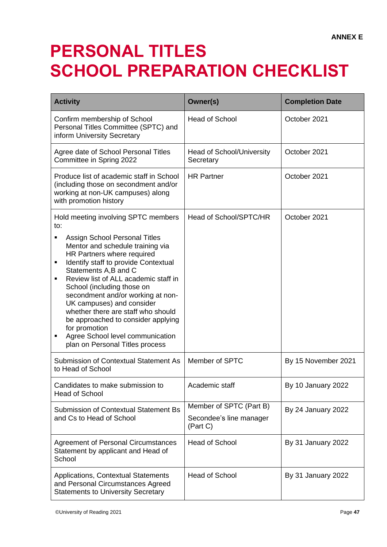## **PERSONAL TITLES SCHOOL PREPARATION CHECKLIST**

| <b>Activity</b>                                                                                                                                                                                                                                                                                                                                                                                                                                                                                                                                      | Owner(s)                                                       | <b>Completion Date</b> |
|------------------------------------------------------------------------------------------------------------------------------------------------------------------------------------------------------------------------------------------------------------------------------------------------------------------------------------------------------------------------------------------------------------------------------------------------------------------------------------------------------------------------------------------------------|----------------------------------------------------------------|------------------------|
| Confirm membership of School<br>Personal Titles Committee (SPTC) and<br>inform University Secretary                                                                                                                                                                                                                                                                                                                                                                                                                                                  | <b>Head of School</b>                                          | October 2021           |
| Agree date of School Personal Titles<br>Committee in Spring 2022                                                                                                                                                                                                                                                                                                                                                                                                                                                                                     | <b>Head of School/University</b><br>Secretary                  | October 2021           |
| Produce list of academic staff in School<br>(including those on secondment and/or<br>working at non-UK campuses) along<br>with promotion history                                                                                                                                                                                                                                                                                                                                                                                                     | <b>HR Partner</b>                                              | October 2021           |
| Hold meeting involving SPTC members<br>to:<br><b>Assign School Personal Titles</b><br>٠<br>Mentor and schedule training via<br>HR Partners where required<br>Identify staff to provide Contextual<br>٠<br>Statements A,B and C<br>Review list of ALL academic staff in<br>٠<br>School (including those on<br>secondment and/or working at non-<br>UK campuses) and consider<br>whether there are staff who should<br>be approached to consider applying<br>for promotion<br>Agree School level communication<br>٠<br>plan on Personal Titles process | Head of School/SPTC/HR                                         | October 2021           |
| Submission of Contextual Statement As<br>to Head of School                                                                                                                                                                                                                                                                                                                                                                                                                                                                                           | Member of SPTC                                                 | By 15 November 2021    |
| Candidates to make submission to<br><b>Head of School</b>                                                                                                                                                                                                                                                                                                                                                                                                                                                                                            | Academic staff                                                 | By 10 January 2022     |
| <b>Submission of Contextual Statement Bs</b><br>and Cs to Head of School                                                                                                                                                                                                                                                                                                                                                                                                                                                                             | Member of SPTC (Part B)<br>Secondee's line manager<br>(Part C) | By 24 January 2022     |
| <b>Agreement of Personal Circumstances</b><br>Statement by applicant and Head of<br>School                                                                                                                                                                                                                                                                                                                                                                                                                                                           | <b>Head of School</b>                                          | By 31 January 2022     |
| Applications, Contextual Statements<br>and Personal Circumstances Agreed<br><b>Statements to University Secretary</b>                                                                                                                                                                                                                                                                                                                                                                                                                                | <b>Head of School</b>                                          | By 31 January 2022     |